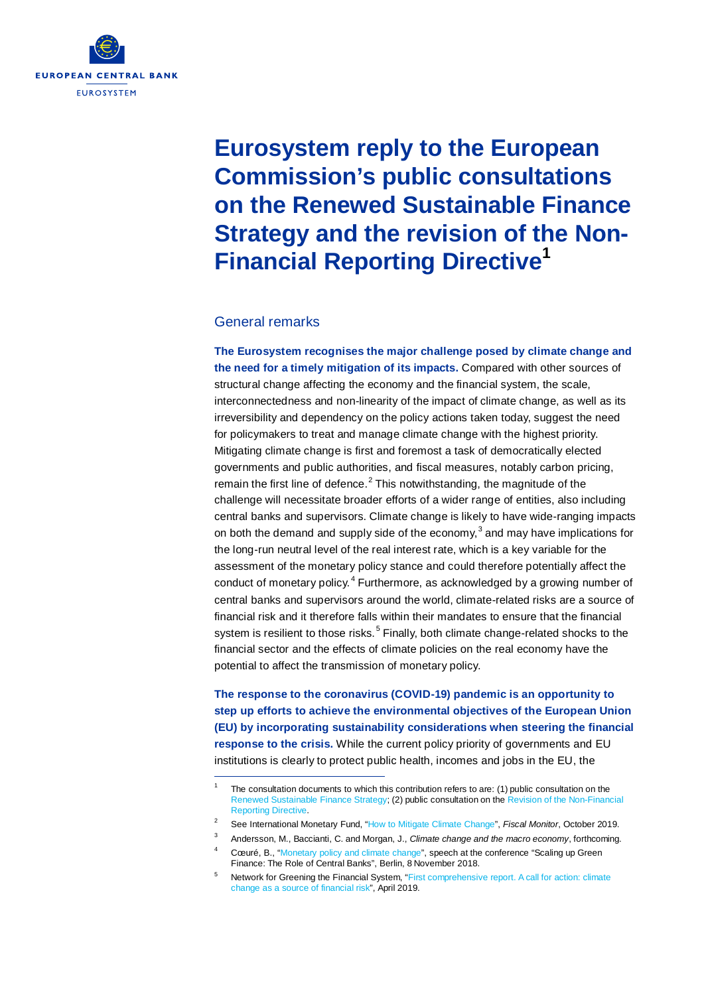

# **Eurosystem reply to the European Commission's public consultations on the Renewed Sustainable Finance Strategy and the revision of the Non-Financial Reporting Directive[1](#page-0-0)**

#### General remarks

l,

**The Eurosystem recognises the major challenge posed by climate change and the need for a timely mitigation of its impacts.** Compared with other sources of structural change affecting the economy and the financial system, the scale, interconnectedness and non-linearity of the impact of climate change, as well as its irreversibility and dependency on the policy actions taken today, suggest the need for policymakers to treat and manage climate change with the highest priority. Mitigating climate change is first and foremost a task of democratically elected governments and public authorities, and fiscal measures, notably carbon pricing, remain the first line of defence. $<sup>2</sup>$  $<sup>2</sup>$  $<sup>2</sup>$  This notwithstanding, the magnitude of the</sup> challenge will necessitate broader efforts of a wider range of entities, also including central banks and supervisors. Climate change is likely to have wide-ranging impacts on both the demand and supply side of the economy, $3$  and may have implications for the long-run neutral level of the real interest rate, which is a key variable for the assessment of the monetary policy stance and could therefore potentially affect the conduct of monetary policy. [4](#page-0-3) Furthermore, as acknowledged by a growing number of central banks and supervisors around the world, climate-related risks are a source of financial risk and it therefore falls within their mandates to ensure that the financial system is resilient to those risks.<sup>[5](#page-0-4)</sup> Finally, both climate change-related shocks to the financial sector and the effects of climate policies on the real economy have the potential to affect the transmission of monetary policy.

**The response to the coronavirus (COVID-19) pandemic is an opportunity to step up efforts to achieve the environmental objectives of the European Union (EU) by incorporating sustainability considerations when steering the financial response to the crisis.** While the current policy priority of governments and EU institutions is clearly to protect public health, incomes and jobs in the EU, the

<span id="page-0-0"></span>The consultation documents to which this contribution refers to are: (1) public consultation on the [Renewed Sustainable Finance Strategy;](https://ec.europa.eu/info/sites/info/files/business_economy_euro/banking_and_finance/documents/2020-sustainable-finance-strategy-consultation-document_en.pdf) (2) public consultation on th[e Revision of the Non-Financial](https://ec.europa.eu/info/sites/info/files/business_economy_euro/company_reporting_and_auditing/documents/2020-non-financial-reporting-directive-consultation-document_en.pdf)  [Reporting Directive.](https://ec.europa.eu/info/sites/info/files/business_economy_euro/company_reporting_and_auditing/documents/2020-non-financial-reporting-directive-consultation-document_en.pdf)

<span id="page-0-2"></span><span id="page-0-1"></span><sup>2</sup> See International Monetary Fund, ["How to Mitigate Climate Change"](https://www.imf.org/en/Publications/FM/Issues/2019/10/16/Fiscal-Monitor-October-2019-How-to-Mitigate-Climate-Change-47027), *Fiscal Monitor*, October 2019.

<sup>3</sup> Andersson, M., Baccianti, C. and Morgan, J., *Climate change and the macro economy*, forthcoming.

Cœuré, B., ["Monetary policy and climate change",](https://www.ecb.europa.eu/press/key/date/2018/html/ecb.sp181108.en.html) speech at the conference "Scaling up Green Finance: The Role of Central Banks", Berlin, 8 November 2018.

<span id="page-0-4"></span><span id="page-0-3"></span><sup>&</sup>lt;sup>5</sup> Network for Greening the Financial System, ["First comprehensive report. A call for](https://www.banque-france.fr/sites/default/files/media/2019/04/17/ngfs_first_comprehensive_report_-_17042019_0.pdf) action: climate [change as a source of financial risk"](https://www.banque-france.fr/sites/default/files/media/2019/04/17/ngfs_first_comprehensive_report_-_17042019_0.pdf), April 2019.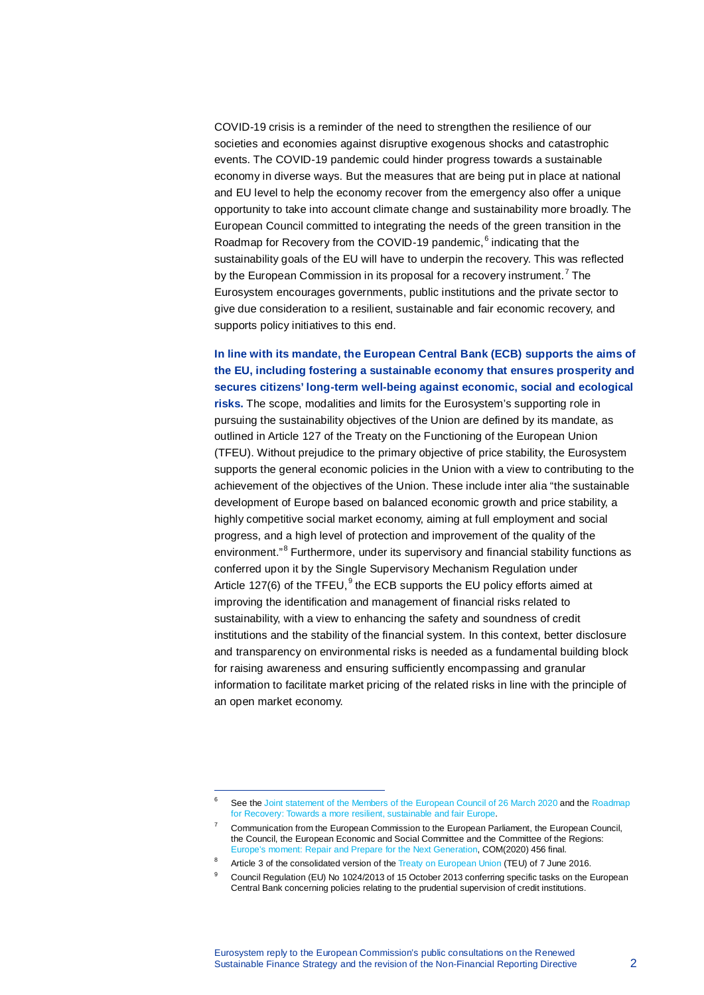COVID-19 crisis is a reminder of the need to strengthen the resilience of our societies and economies against disruptive exogenous shocks and catastrophic events. The COVID-19 pandemic could hinder progress towards a sustainable economy in diverse ways. But the measures that are being put in place at national and EU level to help the economy recover from the emergency also offer a unique opportunity to take into account climate change and sustainability more broadly. The European Council committed to integrating the needs of the green transition in the Roadmap for Recovery from the COVID-19 pandemic, [6](#page-1-0) indicating that the sustainability goals of the EU will have to underpin the recovery. This was reflected by the European Commission in its proposal for a recovery instrument.<sup>[7](#page-1-1)</sup> The Eurosystem encourages governments, public institutions and the private sector to give due consideration to a resilient, sustainable and fair economic recovery, and supports policy initiatives to this end.

### **In line with its mandate, the European Central Bank (ECB) supports the aims of the EU, including fostering a sustainable economy that ensures prosperity and secures citizens' long-term well-being against economic, social and ecological**

**risks.** The scope, modalities and limits for the Eurosystem's supporting role in pursuing the sustainability objectives of the Union are defined by its mandate, as outlined in Article 127 of the Treaty on the Functioning of the European Union (TFEU). Without prejudice to the primary objective of price stability, the Eurosystem supports the general economic policies in the Union with a view to contributing to the achievement of the objectives of the Union. These include inter alia "the sustainable development of Europe based on balanced economic growth and price stability, a highly competitive social market economy, aiming at full employment and social progress, and a high level of protection and improvement of the quality of the environment."<sup>[8](#page-1-2)</sup> Furthermore, under its supervisory and financial stability functions as conferred upon it by the Single Supervisory Mechanism Regulation under Article 127(6) of the TFEU, $<sup>9</sup>$  $<sup>9</sup>$  $<sup>9</sup>$  the ECB supports the EU policy efforts aimed at</sup> improving the identification and management of financial risks related to sustainability, with a view to enhancing the safety and soundness of credit institutions and the stability of the financial system. In this context, better disclosure and transparency on environmental risks is needed as a fundamental building block for raising awareness and ensuring sufficiently encompassing and granular information to facilitate market pricing of the related risks in line with the principle of an open market economy.

<span id="page-1-0"></span>See th[e Joint statement of the Members of the European Council of](https://www.consilium.europa.eu/media/43076/26-vc-euco-statement-en.pdf) 26 March 2020 and the Roadmap [for Recovery: Towards a more resilient, sustainable and fair Europe.](https://www.consilium.europa.eu/media/43384/roadmap-for-recovery-final-21-04-2020.pdf)

<sup>7</sup> Communication from the European Commission to the European Parliament, the European Council, the Council, the European Economic and Social Committee and the Committee of the Regions: Europe's moment: Repair and [Prepare for the Next Generation,](https://ec.europa.eu/info/sites/info/files/communication-europe-moment-repair-prepare-next-generation.pdf) COM(2020) 456 final.

<span id="page-1-3"></span><span id="page-1-2"></span><span id="page-1-1"></span>Article 3 of the consolidated version of th[e Treaty on European Union](https://eur-lex.europa.eu/collection/eu-law/treaties/treaties-force.html#new-2-51) (TEU) of 7 June 2016.

<sup>9</sup> Council Regulation (EU) No 1024/2013 of 15 October 2013 conferring specific tasks on the European Central Bank concerning policies relating to the prudential supervision of credit institutions.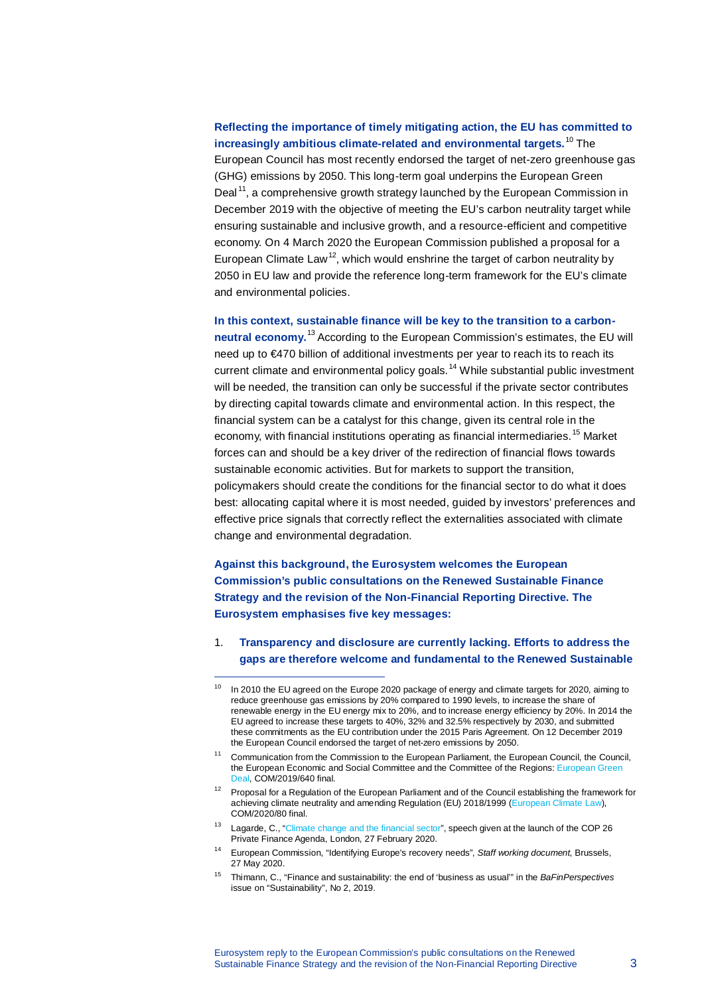# **Reflecting the importance of timely mitigating action, the EU has committed to increasingly ambitious climate-related and environmental targets.**[10](#page-2-0) The European Council has most recently endorsed the target of net-zero greenhouse gas (GHG) emissions by 2050. This long-term goal underpins the European Green Deal<sup>[11](#page-2-1)</sup>, a comprehensive growth strategy launched by the European Commission in December 2019 with the objective of meeting the EU's carbon neutrality target while ensuring sustainable and inclusive growth, and a resource-efficient and competitive economy. On 4 March 2020 the European Commission published a proposal for a European Climate Law<sup>[12](#page-2-2)</sup>, which would enshrine the target of carbon neutrality by 2050 in EU law and provide the reference long-term framework for the EU's climate and environmental policies.

#### **In this context, sustainable finance will be key to the transition to a carbon-**

**neutral economy.**[13](#page-2-3) According to the European Commission's estimates, the EU will need up to €470 billion of additional investments per year to reach its to reach its current climate and environmental policy goals.<sup>[14](#page-2-4)</sup> While substantial public investment will be needed, the transition can only be successful if the private sector contributes by directing capital towards climate and environmental action. In this respect, the financial system can be a catalyst for this change, given its central role in the economy, with financial institutions operating as financial intermediaries.<sup>[15](#page-2-5)</sup> Market forces can and should be a key driver of the redirection of financial flows towards sustainable economic activities. But for markets to support the transition, policymakers should create the conditions for the financial sector to do what it does best: allocating capital where it is most needed, guided by investors' preferences and effective price signals that correctly reflect the externalities associated with climate change and environmental degradation.

**Against this background, the Eurosystem welcomes the European Commission's public consultations on the Renewed Sustainable Finance Strategy and the revision of the Non-Financial Reporting Directive. The Eurosystem emphasises five key messages:**

l,

1. **Transparency and disclosure are currently lacking. Efforts to address the gaps are therefore welcome and fundamental to the Renewed Sustainable** 

<span id="page-2-0"></span><sup>&</sup>lt;sup>10</sup> In 2010 the EU agreed on the Europe 2020 package of energy and climate targets for 2020, aiming to reduce greenhouse gas emissions by 20% compared to 1990 levels, to increase the share of renewable energy in the EU energy mix to 20%, and to increase energy efficiency by 20%. In 2014 the EU agreed to increase these targets to 40%, 32% and 32.5% respectively by 2030, and submitted these commitments as the EU contribution under the 2015 Paris Agreement. On 12 December 2019 the European Council endorsed the target of net-zero emissions by 2050.

<span id="page-2-1"></span><sup>&</sup>lt;sup>11</sup> Communication from the Commission to the European Parliament, the European Council, the Council, the European Economic and Social Committee and the Committee of the Regions: European Green [Deal,](https://eur-lex.europa.eu/legal-content/EN/TXT/?qid=1588580774040&uri=CELEX:52019DC0640) COM/2019/640 final.

<span id="page-2-2"></span> $12$  Proposal for a Regulation of the European Parliament and of the Council establishing the framework for achieving climate neutrality and amending Regulation (EU) 2018/1999 [\(European Climate Law\)](https://www.https/eur-lex.europa.eu/legal-content/EN/TXT/?qid=1588581905912&uri=CELEX:52020PC0080), COM/2020/80 final.

<span id="page-2-3"></span><sup>13</sup> Lagarde, C., ["Climate change and the financial sector"](https://www.ecb.europa.eu/press/key/date/2020/html/ecb.sp200227_1%7E5eac0ce39a.en.html), speech given at the launch of the COP 26 Private Finance Agenda, London, 27 February 2020.

<span id="page-2-4"></span><sup>14</sup> European Commission, "Identifying Europe's recovery needs", *Staff working document*, Brussels, 27 May 2020.

<span id="page-2-5"></span><sup>15</sup> Thimann, C., "Finance and sustainability: the end of 'business as usual'" in the *BaFinPerspectives* issue on "Sustainability", No 2, 2019.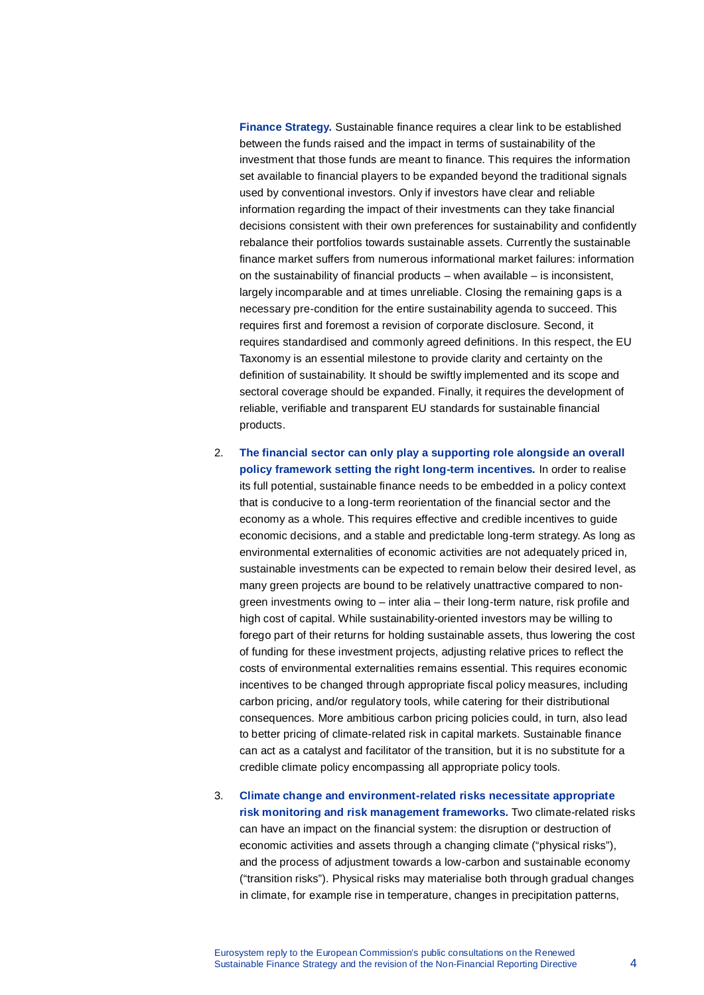**Finance Strategy.** Sustainable finance requires a clear link to be established between the funds raised and the impact in terms of sustainability of the investment that those funds are meant to finance. This requires the information set available to financial players to be expanded beyond the traditional signals used by conventional investors. Only if investors have clear and reliable information regarding the impact of their investments can they take financial decisions consistent with their own preferences for sustainability and confidently rebalance their portfolios towards sustainable assets. Currently the sustainable finance market suffers from numerous informational market failures: information on the sustainability of financial products – when available – is inconsistent, largely incomparable and at times unreliable. Closing the remaining gaps is a necessary pre-condition for the entire sustainability agenda to succeed. This requires first and foremost a revision of corporate disclosure. Second, it requires standardised and commonly agreed definitions. In this respect, the EU Taxonomy is an essential milestone to provide clarity and certainty on the definition of sustainability. It should be swiftly implemented and its scope and sectoral coverage should be expanded. Finally, it requires the development of reliable, verifiable and transparent EU standards for sustainable financial products.

2. **The financial sector can only play a supporting role alongside an overall policy framework setting the right long-term incentives.** In order to realise its full potential, sustainable finance needs to be embedded in a policy context that is conducive to a long-term reorientation of the financial sector and the economy as a whole. This requires effective and credible incentives to guide economic decisions, and a stable and predictable long-term strategy. As long as environmental externalities of economic activities are not adequately priced in, sustainable investments can be expected to remain below their desired level, as many green projects are bound to be relatively unattractive compared to nongreen investments owing to – inter alia – their long-term nature, risk profile and high cost of capital. While sustainability-oriented investors may be willing to forego part of their returns for holding sustainable assets, thus lowering the cost of funding for these investment projects, adjusting relative prices to reflect the costs of environmental externalities remains essential. This requires economic incentives to be changed through appropriate fiscal policy measures, including carbon pricing, and/or regulatory tools, while catering for their distributional consequences. More ambitious carbon pricing policies could, in turn, also lead to better pricing of climate-related risk in capital markets. Sustainable finance can act as a catalyst and facilitator of the transition, but it is no substitute for a credible climate policy encompassing all appropriate policy tools.

3. **Climate change and environment-related risks necessitate appropriate risk monitoring and risk management frameworks.** Two climate-related risks can have an impact on the financial system: the disruption or destruction of economic activities and assets through a changing climate ("physical risks"), and the process of adjustment towards a low-carbon and sustainable economy ("transition risks"). Physical risks may materialise both through gradual changes in climate, for example rise in temperature, changes in precipitation patterns,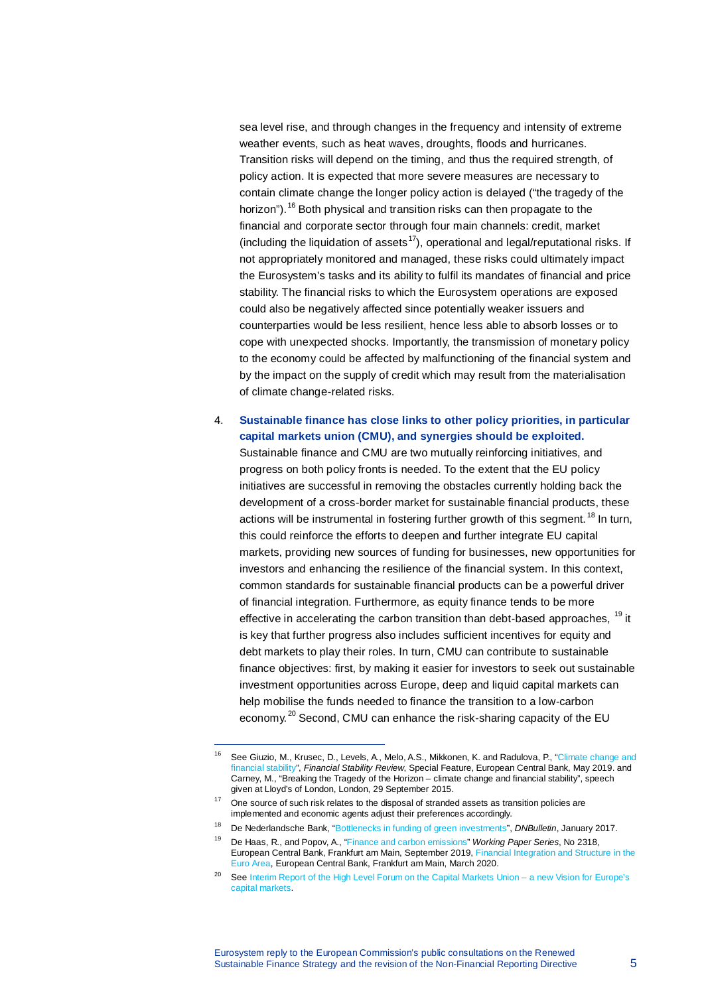sea level rise, and through changes in the frequency and intensity of extreme weather events, such as heat waves, droughts, floods and hurricanes. Transition risks will depend on the timing, and thus the required strength, of policy action. It is expected that more severe measures are necessary to contain climate change the longer policy action is delayed ("the tragedy of the horizon").<sup>[16](#page-4-0)</sup> Both physical and transition risks can then propagate to the financial and corporate sector through four main channels: credit, market (including the liquidation of assets<sup>[17](#page-4-1)</sup>), operational and legal/reputational risks. If not appropriately monitored and managed, these risks could ultimately impact the Eurosystem's tasks and its ability to fulfil its mandates of financial and price stability. The financial risks to which the Eurosystem operations are exposed could also be negatively affected since potentially weaker issuers and counterparties would be less resilient, hence less able to absorb losses or to cope with unexpected shocks. Importantly, the transmission of monetary policy to the economy could be affected by malfunctioning of the financial system and by the impact on the supply of credit which may result from the materialisation of climate change-related risks.

#### 4. **Sustainable finance has close links to other policy priorities, in particular capital markets union (CMU), and synergies should be exploited.**

Sustainable finance and CMU are two mutually reinforcing initiatives, and progress on both policy fronts is needed. To the extent that the EU policy initiatives are successful in removing the obstacles currently holding back the development of a cross-border market for sustainable financial products, these actions will be instrumental in fostering further growth of this segment.<sup>[18](#page-4-2)</sup> In turn, this could reinforce the efforts to deepen and further integrate EU capital markets, providing new sources of funding for businesses, new opportunities for investors and enhancing the resilience of the financial system. In this context, common standards for sustainable financial products can be a powerful driver of financial integration. Furthermore, as equity finance tends to be more effective in accelerating the carbon transition than debt-based approaches, <sup>[19](#page-4-3)</sup> it is key that further progress also includes sufficient incentives for equity and debt markets to play their roles. In turn, CMU can contribute to sustainable finance objectives: first, by making it easier for investors to seek out sustainable investment opportunities across Europe, deep and liquid capital markets can help mobilise the funds needed to finance the transition to a low-carbon economy.<sup>[20](#page-4-4)</sup> Second, CMU can enhance the risk-sharing capacity of the EU

<span id="page-4-0"></span><sup>&</sup>lt;sup>16</sup> See Giuzio, M., Krusec, D., Levels, A., Melo, A.S., Mikkonen, K. and Radulova, P., "Climate change and [financial stability",](https://www.ecb.europa.eu/pub/financial-stability/fsr/special/html/ecb.fsrart201905_1%7E47cf778cc1.en.html) *Financial Stability Review*, Special Feature, European Central Bank, May 2019. and Carney, M., "Breaking the Tragedy of the Horizon – climate change and financial stability", speech given at Lloyd's of London, London, 29 September 2015.

<span id="page-4-1"></span><sup>17</sup> One source of such risk relates to the disposal of stranded assets as transition policies are implemented and economic agents adjust their preferences accordingly.

<span id="page-4-2"></span><sup>18</sup> De Nederlandsche Bank, ["Bottlenecks in funding of green investments"](https://www.dnb.nl/en/news/news-and-archive/dnbulletin-2017/index.jsp), *DNBulletin*, January 2017.

<span id="page-4-3"></span><sup>19</sup> De Haas, R., and Popov, A., ["Finance and carbon emissions"](https://www.ecb.europa.eu/pub/pdf/scpwps/ecb.wp2318%7E44719344e8.en.pdf) *Working Paper Series*, No 2318, European Central Bank, Frankfurt am Main, September 2019[, Financial Integration and Structure in the](https://www.ecb.europa.eu/pub/pdf/fie/ecb.fie202003%7E197074785e.en.pdf)  [Euro Area,](https://www.ecb.europa.eu/pub/pdf/fie/ecb.fie202003%7E197074785e.en.pdf) European Central Bank, Frankfurt am Main, March 2020.

<span id="page-4-4"></span><sup>&</sup>lt;sup>20</sup> Se[e Interim Report of the High Level Forum on the Capital Markets Union](https://ec.europa.eu/info/sites/info/files/business_economy_euro/company_reporting_and_auditing/documents/200220-cmu-high-level-forum-interim-report_en.pdf) – a new Vision for Europe's [capital markets.](https://ec.europa.eu/info/sites/info/files/business_economy_euro/company_reporting_and_auditing/documents/200220-cmu-high-level-forum-interim-report_en.pdf)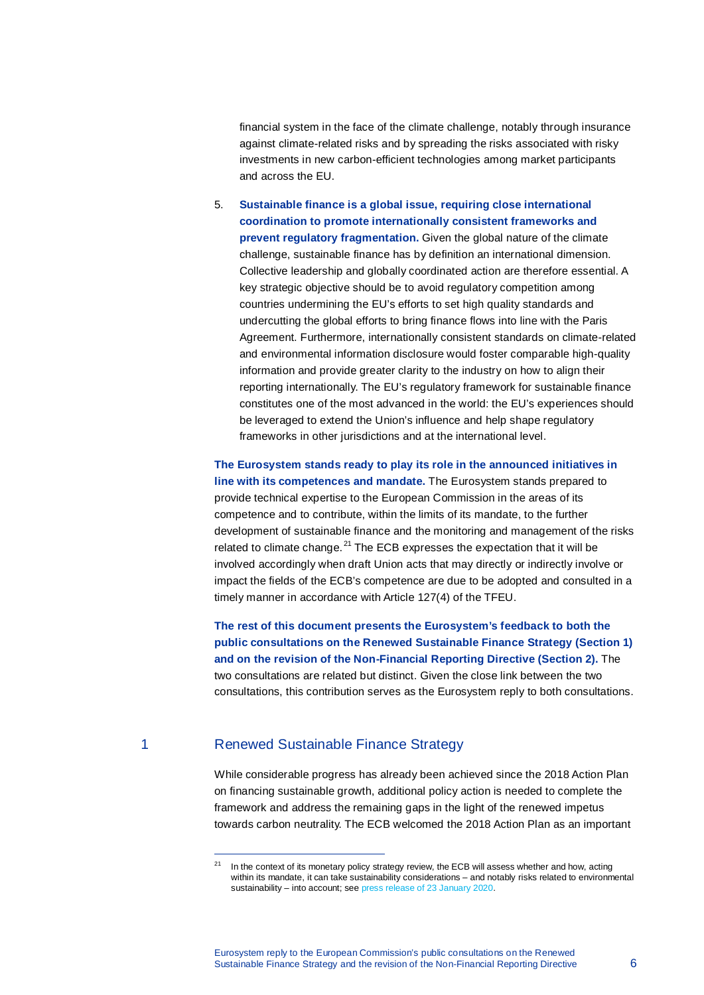financial system in the face of the climate challenge, notably through insurance against climate-related risks and by spreading the risks associated with risky investments in new carbon-efficient technologies among market participants and across the EU.

5. **Sustainable finance is a global issue, requiring close international coordination to promote internationally consistent frameworks and prevent regulatory fragmentation.** Given the global nature of the climate challenge, sustainable finance has by definition an international dimension. Collective leadership and globally coordinated action are therefore essential. A key strategic objective should be to avoid regulatory competition among countries undermining the EU's efforts to set high quality standards and undercutting the global efforts to bring finance flows into line with the Paris Agreement. Furthermore, internationally consistent standards on climate-related and environmental information disclosure would foster comparable high-quality information and provide greater clarity to the industry on how to align their reporting internationally. The EU's regulatory framework for sustainable finance constitutes one of the most advanced in the world: the EU's experiences should be leveraged to extend the Union's influence and help shape regulatory frameworks in other jurisdictions and at the international level.

**The Eurosystem stands ready to play its role in the announced initiatives in line with its competences and mandate.** The Eurosystem stands prepared to provide technical expertise to the European Commission in the areas of its competence and to contribute, within the limits of its mandate, to the further development of sustainable finance and the monitoring and management of the risks related to climate change. $^{21}$  $^{21}$  $^{21}$  The ECB expresses the expectation that it will be involved accordingly when draft Union acts that may directly or indirectly involve or impact the fields of the ECB's competence are due to be adopted and consulted in a timely manner in accordance with Article 127(4) of the TFEU.

**The rest of this document presents the Eurosystem's feedback to both the public consultations on the Renewed Sustainable Finance Strategy (Section 1) and on the revision of the Non-Financial Reporting Directive (Section 2).** The two consultations are related but distinct. Given the close link between the two consultations, this contribution serves as the Eurosystem reply to both consultations.

l,

# <span id="page-5-0"></span>1 Renewed Sustainable Finance Strategy

While considerable progress has already been achieved since the 2018 Action Plan on financing sustainable growth, additional policy action is needed to complete the framework and address the remaining gaps in the light of the renewed impetus towards carbon neutrality. The ECB welcomed the 2018 Action Plan as an important

 $21$  In the context of its monetary policy strategy review, the ECB will assess whether and how, acting within its mandate, it can take sustainability considerations – and notably risks related to environmental sustainability – into account; se[e press release of](https://www.ecb.europa.eu/press/pr/date/2020/html/ecb.pr200123%7E3b8d9fc08d.en.html) 23 January 2020.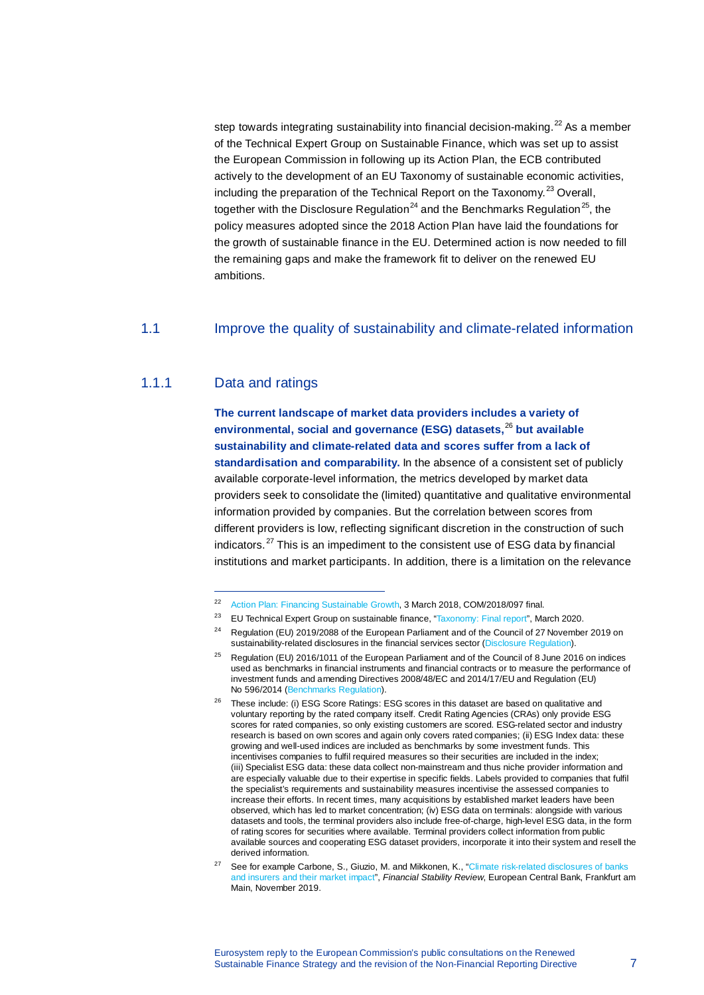step towards integrating sustainability into financial decision-making.<sup>[22](#page-6-0)</sup> As a member of the Technical Expert Group on Sustainable Finance, which was set up to assist the European Commission in following up its Action Plan, the ECB contributed actively to the development of an EU Taxonomy of sustainable economic activities, including the preparation of the Technical Report on the Taxonomy.<sup>[23](#page-6-1)</sup> Overall, together with the Disclosure Regulation<sup>[24](#page-6-2)</sup> and the Benchmarks Regulation<sup>25</sup>, the policy measures adopted since the 2018 Action Plan have laid the foundations for the growth of sustainable finance in the EU. Determined action is now needed to fill the remaining gaps and make the framework fit to deliver on the renewed EU ambitions.

#### 1.1 Improve the quality of sustainability and climate-related information

# 1.1.1 Data and ratings

l,

**The current landscape of market data providers includes a variety of environmental, social and governance (ESG) datasets,**[26](#page-6-4) **but available sustainability and climate-related data and scores suffer from a lack of standardisation and comparability.** In the absence of a consistent set of publicly available corporate-level information, the metrics developed by market data providers seek to consolidate the (limited) quantitative and qualitative environmental information provided by companies. But the correlation between scores from different providers is low, reflecting significant discretion in the construction of such indicators. $^{27}$  $^{27}$  $^{27}$  This is an impediment to the consistent use of ESG data by financial institutions and market participants. In addition, there is a limitation on the relevance

- <sup>23</sup> EU Technical Expert Group on sustainable finance, ["Taxonomy: Final report"](https://ec.europa.eu/info/sites/info/files/business_economy_euro/banking_and_finance/documents/200309-sustainable-finance-teg-final-report-taxonomy_en.pdf), March 2020.
- <sup>24</sup> Regulation (EU) 2019/2088 of the European Parliament and of the Council of 27 November 2019 on sustainability-related disclosures in the financial services sector [\(Disclosure Regulation\).](https://eur-lex.europa.eu/eli/reg/2019/2088/oj)

<span id="page-6-1"></span><span id="page-6-0"></span><sup>22</sup> [Action Plan: Financing Sustainable Growth,](https://eur-lex.europa.eu/legal-content/EN/TXT/?uri=CELEX:52018DC0097) 3 March 2018, COM/2018/097 final.<br>23 ELI Technical Expert Group on sustainable finance. "Taxonomy: Final report". Ma

<span id="page-6-3"></span><span id="page-6-2"></span><sup>&</sup>lt;sup>25</sup> Regulation (EU) 2016/1011 of the European Parliament and of the Council of 8 June 2016 on indices used as benchmarks in financial instruments and financial contracts or to measure the performance of investment funds and amending Directives 2008/48/EC and 2014/17/EU and Regulation (EU) No 596/2014 [\(Benchmarks Regulation\)](https://eur-lex.europa.eu/legal-content/EN/TXT/?uri=uriserv:OJ.L_.2016.171.01.0001.01.ENG&toc=OJ:L:2016:171:TOC).

<span id="page-6-4"></span> $26$  These include: (i) ESG Score Ratings: ESG scores in this dataset are based on qualitative and voluntary reporting by the rated company itself. Credit Rating Agencies (CRAs) only provide ESG scores for rated companies, so only existing customers are scored. ESG-related sector and industry research is based on own scores and again only covers rated companies; (ii) ESG Index data: these growing and well-used indices are included as benchmarks by some investment funds. This incentivises companies to fulfil required measures so their securities are included in the index; (iii) Specialist ESG data: these data collect non-mainstream and thus niche provider information and are especially valuable due to their expertise in specific fields. Labels provided to companies that fulfil the specialist's requirements and sustainability measures incentivise the assessed companies to increase their efforts. In recent times, many acquisitions by established market leaders have been observed, which has led to market concentration; (iv) ESG data on terminals: alongside with various datasets and tools, the terminal providers also include free-of-charge, high-level ESG data, in the form of rating scores for securities where available. Terminal providers collect information from public available sources and cooperating ESG dataset providers, incorporate it into their system and resell the derived information.

<span id="page-6-5"></span>See for example Carbone, S., Giuzio, M. and Mikkonen, K., "Climate risk-related disclosures of banks [and insurers and their market impact",](https://www.ecb.europa.eu/pub/financial-stability/fsr/html/ecb.fsr201911%7Efacad0251f.en.html#toc27) *Financial Stability Review*, European Central Bank, Frankfurt am Main, November 2019.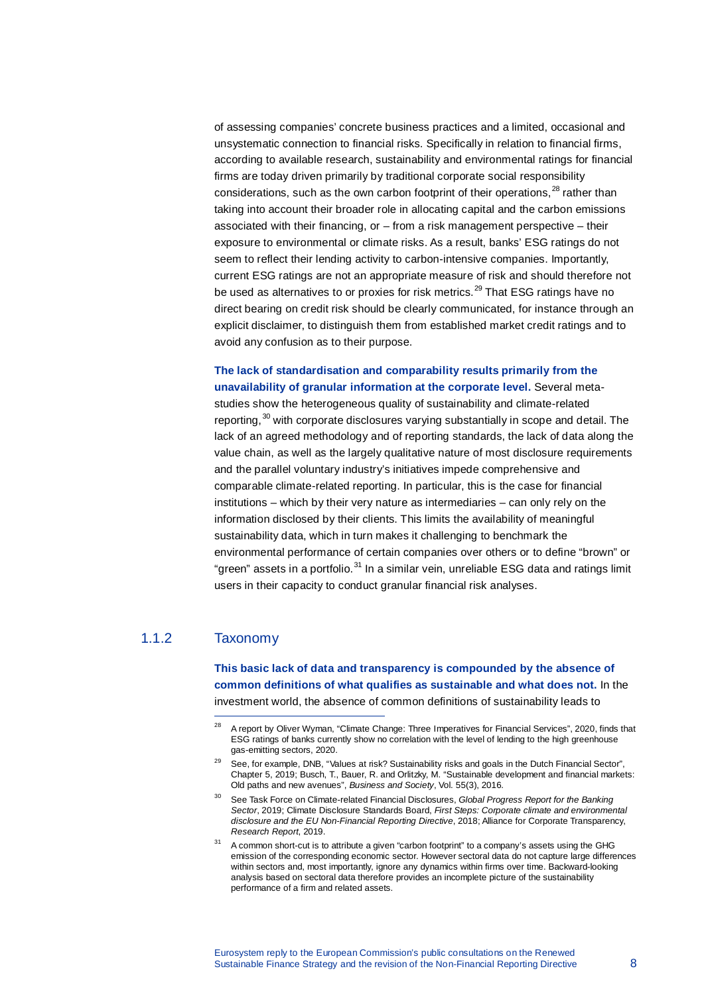of assessing companies' concrete business practices and a limited, occasional and unsystematic connection to financial risks. Specifically in relation to financial firms, according to available research, sustainability and environmental ratings for financial firms are today driven primarily by traditional corporate social responsibility considerations, such as the own carbon footprint of their operations,  $^{28}$  $^{28}$  $^{28}$  rather than taking into account their broader role in allocating capital and the carbon emissions associated with their financing, or – from a risk management perspective – their exposure to environmental or climate risks. As a result, banks' ESG ratings do not seem to reflect their lending activity to carbon-intensive companies. Importantly, current ESG ratings are not an appropriate measure of risk and should therefore not be used as alternatives to or proxies for risk metrics.<sup>[29](#page-7-1)</sup> That ESG ratings have no direct bearing on credit risk should be clearly communicated, for instance through an explicit disclaimer, to distinguish them from established market credit ratings and to avoid any confusion as to their purpose.

#### **The lack of standardisation and comparability results primarily from the unavailability of granular information at the corporate level.** Several meta-

studies show the heterogeneous quality of sustainability and climate-related reporting, [30](#page-7-2) with corporate disclosures varying substantially in scope and detail. The lack of an agreed methodology and of reporting standards, the lack of data along the value chain, as well as the largely qualitative nature of most disclosure requirements and the parallel voluntary industry's initiatives impede comprehensive and comparable climate-related reporting. In particular, this is the case for financial institutions – which by their very nature as intermediaries – can only rely on the information disclosed by their clients. This limits the availability of meaningful sustainability data, which in turn makes it challenging to benchmark the environmental performance of certain companies over others or to define "brown" or "green" assets in a portfolio.<sup>[31](#page-7-3)</sup> In a similar vein, unreliable ESG data and ratings limit users in their capacity to conduct granular financial risk analyses.

# <span id="page-7-1"></span><span id="page-7-0"></span>1.1.2 Taxonomy

l,

**This basic lack of data and transparency is compounded by the absence of common definitions of what qualifies as sustainable and what does not.** In the investment world, the absence of common definitions of sustainability leads to

<sup>&</sup>lt;sup>28</sup> A report by Oliver Wyman, "Climate Change: Three Imperatives for Financial Services", 2020, finds that ESG ratings of banks currently show no correlation with the level of lending to the high greenhouse gas-emitting sectors, 2020.

<sup>&</sup>lt;sup>29</sup> See, for example, DNB, "Values at risk? Sustainability risks and goals in the Dutch Financial Sector", Chapter 5, 2019; Busch, T., Bauer, R. and Orlitzky, M. "Sustainable development and financial markets: Old paths and new avenues", *Business and Society*, Vol. 55(3), 2016.

<span id="page-7-2"></span><sup>30</sup> See Task Force on Climate-related Financial Disclosures, *Global Progress Report for the Banking Sector*, 2019; Climate Disclosure Standards Board, *First Steps: Corporate climate and environmental disclosure and the EU Non-Financial Reporting Directive*, 2018; Alliance for Corporate Transparency, *Research Report*, 2019.

<span id="page-7-3"></span><sup>31</sup> A common short-cut is to attribute a given "carbon footprint" to a company's assets using the GHG emission of the corresponding economic sector. However sectoral data do not capture large differences within sectors and, most importantly, ignore any dynamics within firms over time. Backward-looking analysis based on sectoral data therefore provides an incomplete picture of the sustainability performance of a firm and related assets.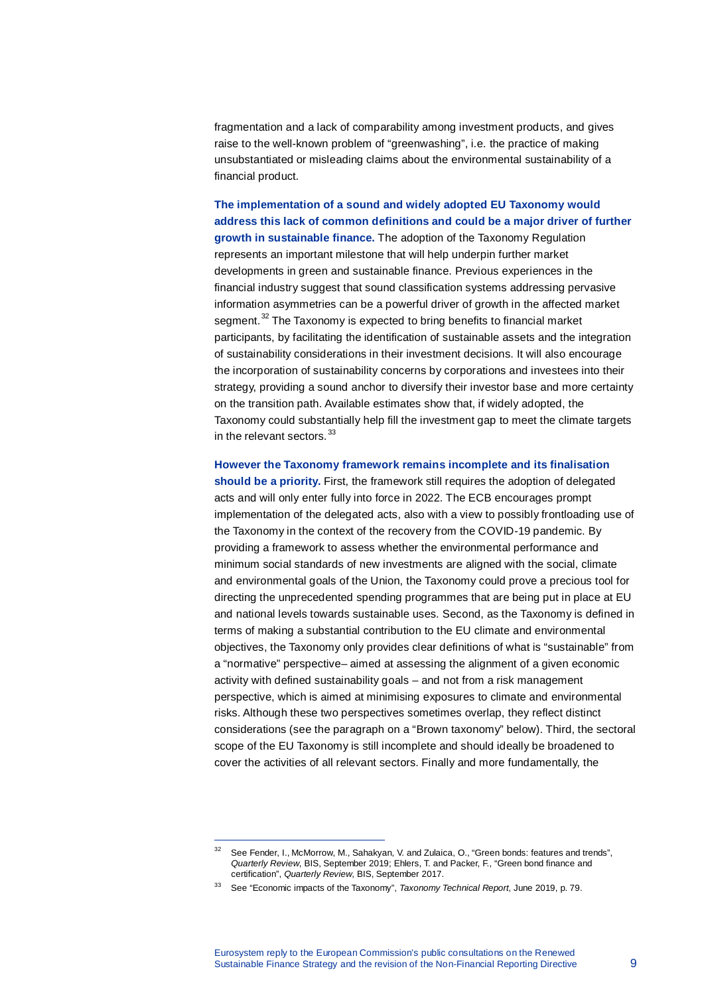fragmentation and a lack of comparability among investment products, and gives raise to the well-known problem of "greenwashing", i.e. the practice of making unsubstantiated or misleading claims about the environmental sustainability of a financial product.

**The implementation of a sound and widely adopted EU Taxonomy would address this lack of common definitions and could be a major driver of further growth in sustainable finance.** The adoption of the Taxonomy Regulation represents an important milestone that will help underpin further market developments in green and sustainable finance. Previous experiences in the financial industry suggest that sound classification systems addressing pervasive information asymmetries can be a powerful driver of growth in the affected market segment.<sup>[32](#page-8-0)</sup> The Taxonomy is expected to bring benefits to financial market participants, by facilitating the identification of sustainable assets and the integration of sustainability considerations in their investment decisions. It will also encourage the incorporation of sustainability concerns by corporations and investees into their strategy, providing a sound anchor to diversify their investor base and more certainty on the transition path. Available estimates show that, if widely adopted, the Taxonomy could substantially help fill the investment gap to meet the climate targets in the relevant sectors.  $33$ 

**However the Taxonomy framework remains incomplete and its finalisation should be a priority.** First, the framework still requires the adoption of delegated acts and will only enter fully into force in 2022. The ECB encourages prompt implementation of the delegated acts, also with a view to possibly frontloading use of the Taxonomy in the context of the recovery from the COVID-19 pandemic. By providing a framework to assess whether the environmental performance and minimum social standards of new investments are aligned with the social, climate and environmental goals of the Union, the Taxonomy could prove a precious tool for directing the unprecedented spending programmes that are being put in place at EU and national levels towards sustainable uses. Second, as the Taxonomy is defined in terms of making a substantial contribution to the EU climate and environmental objectives, the Taxonomy only provides clear definitions of what is "sustainable" from a "normative" perspective– aimed at assessing the alignment of a given economic activity with defined sustainability goals – and not from a risk management perspective, which is aimed at minimising exposures to climate and environmental risks. Although these two perspectives sometimes overlap, they reflect distinct considerations (see the paragraph on a "Brown taxonomy" below). Third, the sectoral scope of the EU Taxonomy is still incomplete and should ideally be broadened to cover the activities of all relevant sectors. Finally and more fundamentally, the

Se[e Fender,](https://www.bis.org/author/ingo_fender.htm) I., [McMorrow,](https://www.bis.org/author/mike_mcmorrow.htm) M., [Sahakyan,](https://www.bis.org/author/vahe_sahakyan.htm) V. and [Zulaica,](https://www.bis.org/author/omar_zulaica.htm) O., "Green bonds: features and trends", *Quarterly Review*, BIS, September 2019; Ehlers, T. and Packer, F., "Green bond finance and certification", *Quarterly Review*, BIS, September 2017.

<span id="page-8-1"></span><span id="page-8-0"></span><sup>33</sup> See "Economic impacts of the Taxonomy", *Taxonomy Technical Report*, June 2019, p. 79.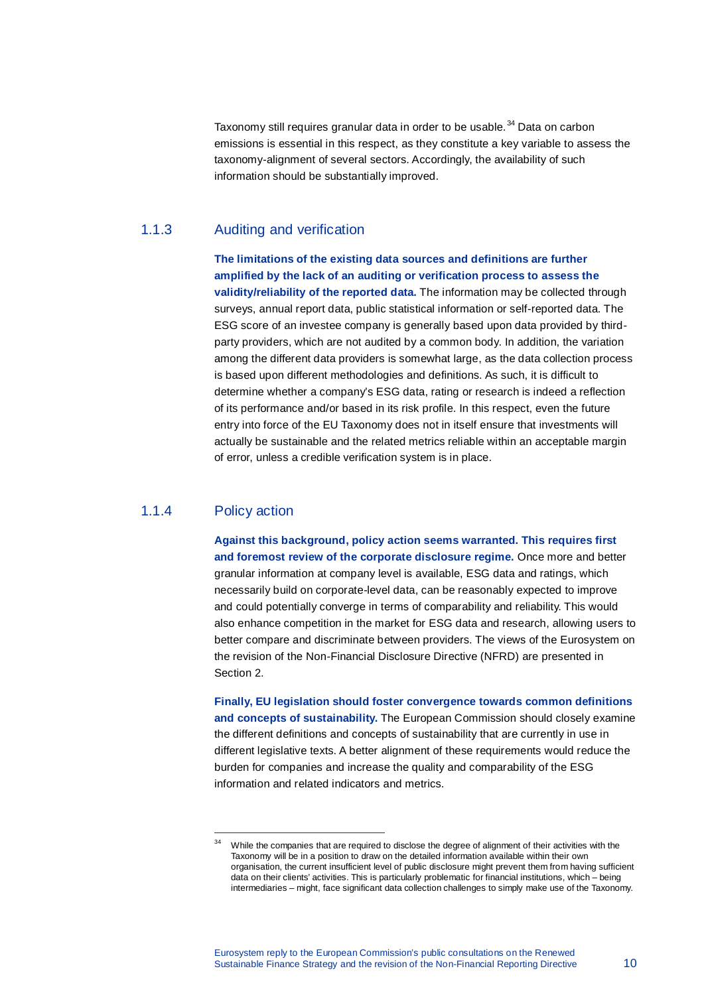Taxonomy still requires granular data in order to be usable.<sup>[34](#page-9-0)</sup> Data on carbon emissions is essential in this respect, as they constitute a key variable to assess the taxonomy-alignment of several sectors. Accordingly, the availability of such information should be substantially improved.

#### 1.1.3 Auditing and verification

**The limitations of the existing data sources and definitions are further amplified by the lack of an auditing or verification process to assess the validity/reliability of the reported data.** The information may be collected through surveys, annual report data, public statistical information or self-reported data. The ESG score of an investee company is generally based upon data provided by thirdparty providers, which are not audited by a common body. In addition, the variation among the different data providers is somewhat large, as the data collection process is based upon different methodologies and definitions. As such, it is difficult to determine whether a company's ESG data, rating or research is indeed a reflection of its performance and/or based in its risk profile. In this respect, even the future entry into force of the EU Taxonomy does not in itself ensure that investments will actually be sustainable and the related metrics reliable within an acceptable margin of error, unless a credible verification system is in place.

## 1.1.4 Policy action

l,

**Against this background, policy action seems warranted. This requires first and foremost review of the corporate disclosure regime.** Once more and better granular information at company level is available, ESG data and ratings, which necessarily build on corporate-level data, can be reasonably expected to improve and could potentially converge in terms of comparability and reliability. This would also enhance competition in the market for ESG data and research, allowing users to better compare and discriminate between providers. The views of the Eurosystem on the revision of the Non-Financial Disclosure Directive (NFRD) are presented in Section 2.

**Finally, EU legislation should foster convergence towards common definitions and concepts of sustainability.** The European Commission should closely examine the different definitions and concepts of sustainability that are currently in use in different legislative texts. A better alignment of these requirements would reduce the burden for companies and increase the quality and comparability of the ESG information and related indicators and metrics.

<span id="page-9-0"></span>While the companies that are required to disclose the degree of alignment of their activities with the Taxonomy will be in a position to draw on the detailed information available within their own organisation, the current insufficient level of public disclosure might prevent them from having sufficient data on their clients' activities. This is particularly problematic for financial institutions, which – being intermediaries – might, face significant data collection challenges to simply make use of the Taxonomy.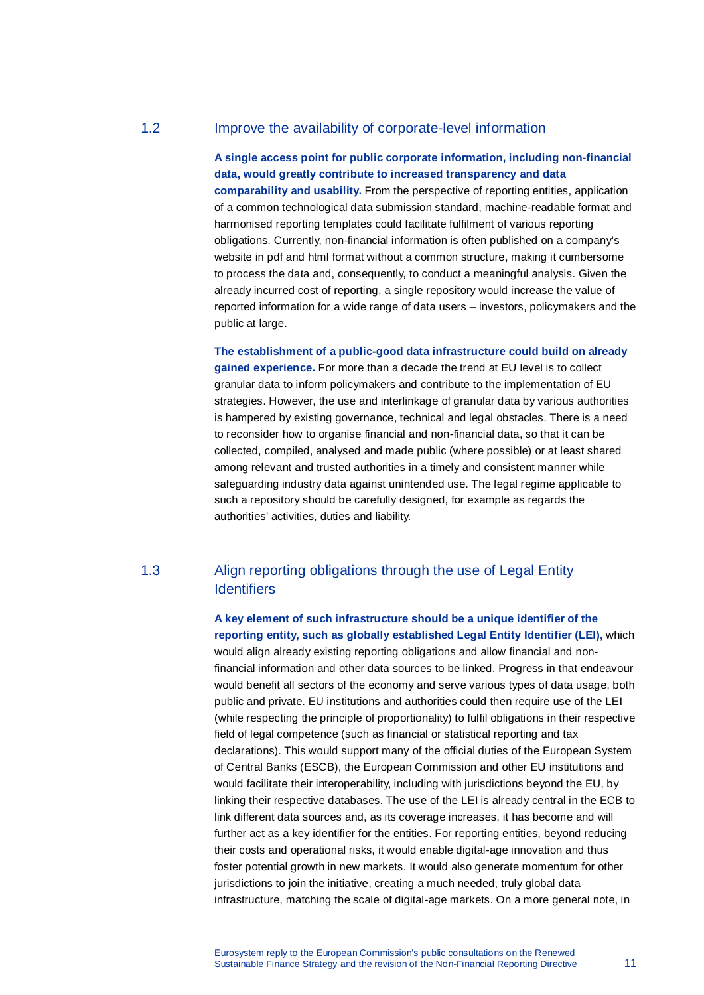# 1.2 Improve the availability of corporate-level information

**A single access point for public corporate information, including non-financial data, would greatly contribute to increased transparency and data comparability and usability.** From the perspective of reporting entities, application of a common technological data submission standard, machine-readable format and harmonised reporting templates could facilitate fulfilment of various reporting obligations. Currently, non-financial information is often published on a company's website in pdf and html format without a common structure, making it cumbersome to process the data and, consequently, to conduct a meaningful analysis. Given the already incurred cost of reporting, a single repository would increase the value of reported information for a wide range of data users – investors, policymakers and the public at large.

**The establishment of a public-good data infrastructure could build on already gained experience.** For more than a decade the trend at EU level is to collect granular data to inform policymakers and contribute to the implementation of EU strategies. However, the use and interlinkage of granular data by various authorities is hampered by existing governance, technical and legal obstacles. There is a need to reconsider how to organise financial and non-financial data, so that it can be collected, compiled, analysed and made public (where possible) or at least shared among relevant and trusted authorities in a timely and consistent manner while safeguarding industry data against unintended use. The legal regime applicable to such a repository should be carefully designed, for example as regards the authorities' activities, duties and liability.

# 1.3 Align reporting obligations through the use of Legal Entity **Identifiers**

**A key element of such infrastructure should be a unique identifier of the reporting entity, such as globally established Legal Entity Identifier (LEI),** which would align already existing reporting obligations and allow financial and nonfinancial information and other data sources to be linked. Progress in that endeavour would benefit all sectors of the economy and serve various types of data usage, both public and private. EU institutions and authorities could then require use of the LEI (while respecting the principle of proportionality) to fulfil obligations in their respective field of legal competence (such as financial or statistical reporting and tax declarations). This would support many of the official duties of the European System of Central Banks (ESCB), the European Commission and other EU institutions and would facilitate their interoperability, including with jurisdictions beyond the EU, by linking their respective databases. The use of the LEI is already central in the ECB to link different data sources and, as its coverage increases, it has become and will further act as a key identifier for the entities. For reporting entities, beyond reducing their costs and operational risks, it would enable digital-age innovation and thus foster potential growth in new markets. It would also generate momentum for other jurisdictions to join the initiative, creating a much needed, truly global data infrastructure, matching the scale of digital-age markets. On a more general note, in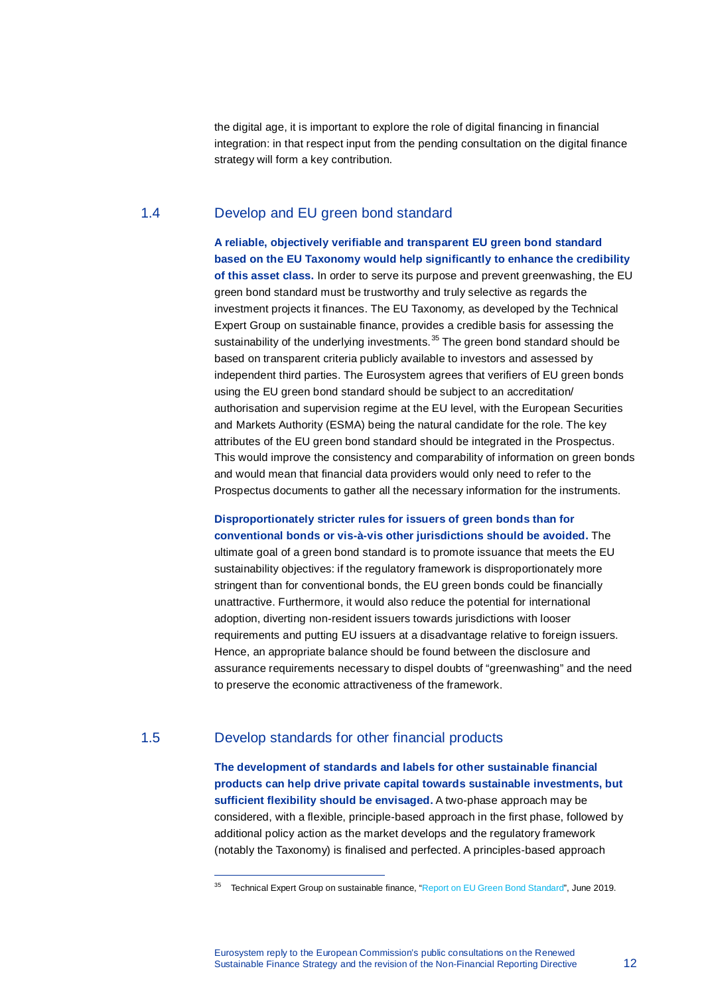the digital age, it is important to explore the role of digital financing in financial integration: in that respect input from the pending consultation on the digital finance strategy will form a key contribution.

# 1.4 Develop and EU green bond standard

**A reliable, objectively verifiable and transparent EU green bond standard based on the EU Taxonomy would help significantly to enhance the credibility of this asset class.** In order to serve its purpose and prevent greenwashing, the EU green bond standard must be trustworthy and truly selective as regards the investment projects it finances. The EU Taxonomy, as developed by the Technical Expert Group on sustainable finance, provides a credible basis for assessing the sustainability of the underlying investments.<sup>[35](#page-11-0)</sup> The green bond standard should be based on transparent criteria publicly available to investors and assessed by independent third parties. The Eurosystem agrees that verifiers of EU green bonds using the EU green bond standard should be subject to an accreditation/ authorisation and supervision regime at the EU level, with the European Securities and Markets Authority (ESMA) being the natural candidate for the role. The key attributes of the EU green bond standard should be integrated in the Prospectus. This would improve the consistency and comparability of information on green bonds and would mean that financial data providers would only need to refer to the Prospectus documents to gather all the necessary information for the instruments.

#### **Disproportionately stricter rules for issuers of green bonds than for conventional bonds or vis-à-vis other jurisdictions should be avoided.** The

ultimate goal of a green bond standard is to promote issuance that meets the EU sustainability objectives: if the regulatory framework is disproportionately more stringent than for conventional bonds, the EU green bonds could be financially unattractive. Furthermore, it would also reduce the potential for international adoption, diverting non-resident issuers towards jurisdictions with looser requirements and putting EU issuers at a disadvantage relative to foreign issuers. Hence, an appropriate balance should be found between the disclosure and assurance requirements necessary to dispel doubts of "greenwashing" and the need to preserve the economic attractiveness of the framework.

#### <span id="page-11-0"></span>1.5 Develop standards for other financial products

l,

**The development of standards and labels for other sustainable financial products can help drive private capital towards sustainable investments, but sufficient flexibility should be envisaged.** A two-phase approach may be considered, with a flexible, principle-based approach in the first phase, followed by additional policy action as the market develops and the regulatory framework (notably the Taxonomy) is finalised and perfected. A principles-based approach

<sup>&</sup>lt;sup>35</sup> Technical Expert Group on sustainable finance, ["Report on EU Green Bond Standard",](https://ec.europa.eu/info/sites/info/files/business_economy_euro/banking_and_finance/documents/190618-sustainable-finance-teg-report-green-bond-standard_en.pdf) June 2019.

Eurosystem reply to the European Commission's public consultations on the Renewed Sustainable Finance Strategy and the revision of the Non-Financial Reporting Directive 12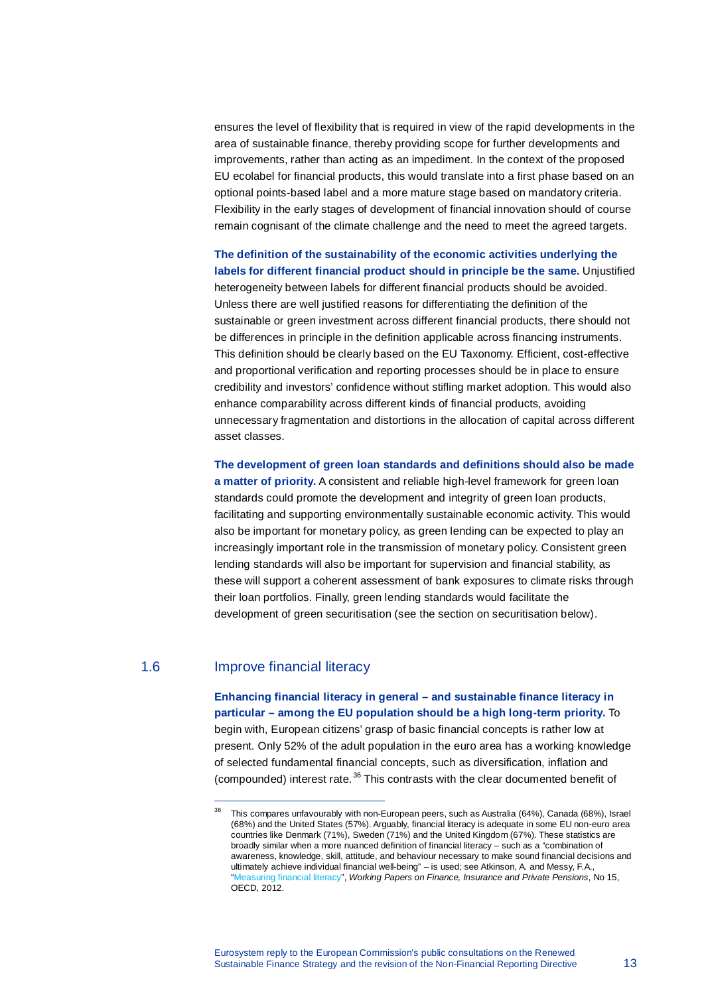ensures the level of flexibility that is required in view of the rapid developments in the area of sustainable finance, thereby providing scope for further developments and improvements, rather than acting as an impediment. In the context of the proposed EU ecolabel for financial products, this would translate into a first phase based on an optional points-based label and a more mature stage based on mandatory criteria. Flexibility in the early stages of development of financial innovation should of course remain cognisant of the climate challenge and the need to meet the agreed targets.

**The definition of the sustainability of the economic activities underlying the labels for different financial product should in principle be the same.** Unjustified heterogeneity between labels for different financial products should be avoided. Unless there are well justified reasons for differentiating the definition of the sustainable or green investment across different financial products, there should not be differences in principle in the definition applicable across financing instruments. This definition should be clearly based on the EU Taxonomy. Efficient, cost-effective and proportional verification and reporting processes should be in place to ensure credibility and investors' confidence without stifling market adoption. This would also enhance comparability across different kinds of financial products, avoiding unnecessary fragmentation and distortions in the allocation of capital across different asset classes.

**The development of green loan standards and definitions should also be made a matter of priority.** A consistent and reliable high-level framework for green loan standards could promote the development and integrity of green loan products, facilitating and supporting environmentally sustainable economic activity. This would also be important for monetary policy, as green lending can be expected to play an increasingly important role in the transmission of monetary policy. Consistent green lending standards will also be important for supervision and financial stability, as these will support a coherent assessment of bank exposures to climate risks through their loan portfolios. Finally, green lending standards would facilitate the development of green securitisation (see the section on securitisation below).

# <span id="page-12-0"></span>1.6 Improve financial literacy

l,

**Enhancing financial literacy in general – and sustainable finance literacy in particular – among the EU population should be a high long-term priority.** To begin with, European citizens' grasp of basic financial concepts is rather low at present. Only 52% of the adult population in the euro area has a working knowledge of selected fundamental financial concepts, such as diversification, inflation and (compounded) interest rate.<sup>[36](#page-12-0)</sup> This contrasts with the clear documented benefit of

 $36$  This compares unfavourably with non-European peers, such as Australia (64%), Canada (68%), Israel (68%) and the United States (57%). Arguably, financial literacy is adequate in some EU non-euro area countries like Denmark (71%), Sweden (71%) and the United Kingdom (67%). These statistics are broadly similar when a more nuanced definition of financial literacy – such as a "combination of awareness, knowledge, skill, attitude, and behaviour necessary to make sound financial decisions and ultimately achieve individual financial well-being" – is used; see Atkinson, A. and Messy, F.A., ["Measuring financial literacy"](http://www.oecd.org/finance/financial-education/measuringfinancialliteracy.htm), *Working Papers on Finance, Insurance and Private Pensions*, No 15, OECD, 2012.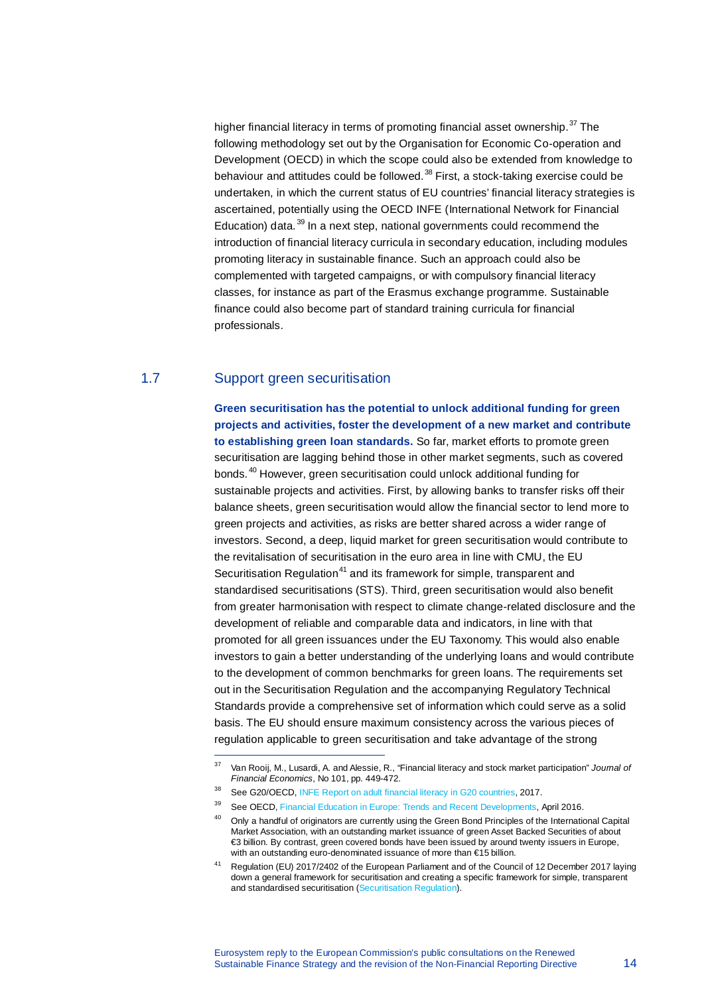higher financial literacy in terms of promoting financial asset ownership.<sup>[37](#page-13-0)</sup> The following methodology set out by the Organisation for Economic Co-operation and Development (OECD) in which the scope could also be extended from knowledge to behaviour and attitudes could be followed.<sup>[38](#page-13-1)</sup> First, a stock-taking exercise could be undertaken, in which the current status of EU countries' financial literacy strategies is ascertained, potentially using the OECD INFE (International Network for Financial Education) data.<sup>[39](#page-13-2)</sup> In a next step, national governments could recommend the introduction of financial literacy curricula in secondary education, including modules promoting literacy in sustainable finance. Such an approach could also be complemented with targeted campaigns, or with compulsory financial literacy classes, for instance as part of the Erasmus exchange programme. Sustainable finance could also become part of standard training curricula for financial professionals.

### 1.7 Support green securitisation

l,

**Green securitisation has the potential to unlock additional funding for green projects and activities, foster the development of a new market and contribute to establishing green loan standards.** So far, market efforts to promote green securitisation are lagging behind those in other market segments, such as covered bonds. [40](#page-13-3) However, green securitisation could unlock additional funding for sustainable projects and activities. First, by allowing banks to transfer risks off their balance sheets, green securitisation would allow the financial sector to lend more to green projects and activities, as risks are better shared across a wider range of investors. Second, a deep, liquid market for green securitisation would contribute to the revitalisation of securitisation in the euro area in line with CMU, the EU Securitisation Regulation<sup>[41](#page-13-4)</sup> and its framework for simple, transparent and standardised securitisations (STS). Third, green securitisation would also benefit from greater harmonisation with respect to climate change-related disclosure and the development of reliable and comparable data and indicators, in line with that promoted for all green issuances under the EU Taxonomy. This would also enable investors to gain a better understanding of the underlying loans and would contribute to the development of common benchmarks for green loans. The requirements set out in the Securitisation Regulation and the accompanying Regulatory Technical Standards provide a comprehensive set of information which could serve as a solid basis. The EU should ensure maximum consistency across the various pieces of regulation applicable to green securitisation and take advantage of the strong

<span id="page-13-0"></span><sup>37</sup> Van Rooij, M., Lusardi, A. and Alessie, R., "Financial literacy and stock market participation" *Journal of Financial Economics*, No 101, pp. 449-472.

<span id="page-13-2"></span><span id="page-13-1"></span><sup>38</sup> Se[e G20/OECD, INFE Report on adult financial literacy in G20 countries,](http://www.oecd.org/daf/fin/financial-education/G20-OECD-INFE-report-adult-financial-literacy-in-G20-countries.pdf) 2017.

See OECD, [Financial Education in Europe: Trends and Recent Developments,](https://www.oecd.org/education/financial-education-in-europe-9789264254855-en.htm/) April 2016.

<span id="page-13-3"></span><sup>&</sup>lt;sup>40</sup> Only a handful of originators are currently using the Green Bond Principles of the International Capital Market Association, with an outstanding market issuance of green Asset Backed Securities of about €3 billion. By contrast, green covered bonds have been issued by around twenty issuers in Europe, with an outstanding euro-denominated issuance of more than €15 billion.

<span id="page-13-4"></span><sup>41</sup> Regulation (EU) 2017/2402 of the European Parliament and of the Council of 12 December 2017 laying down a general framework for securitisation and creating a specific framework for simple, transparent and standardised securitisation [\(Securitisation Regulation\).](https://eur-lex.europa.eu/legal-content/en/TXT/?uri=celex:32017R2402)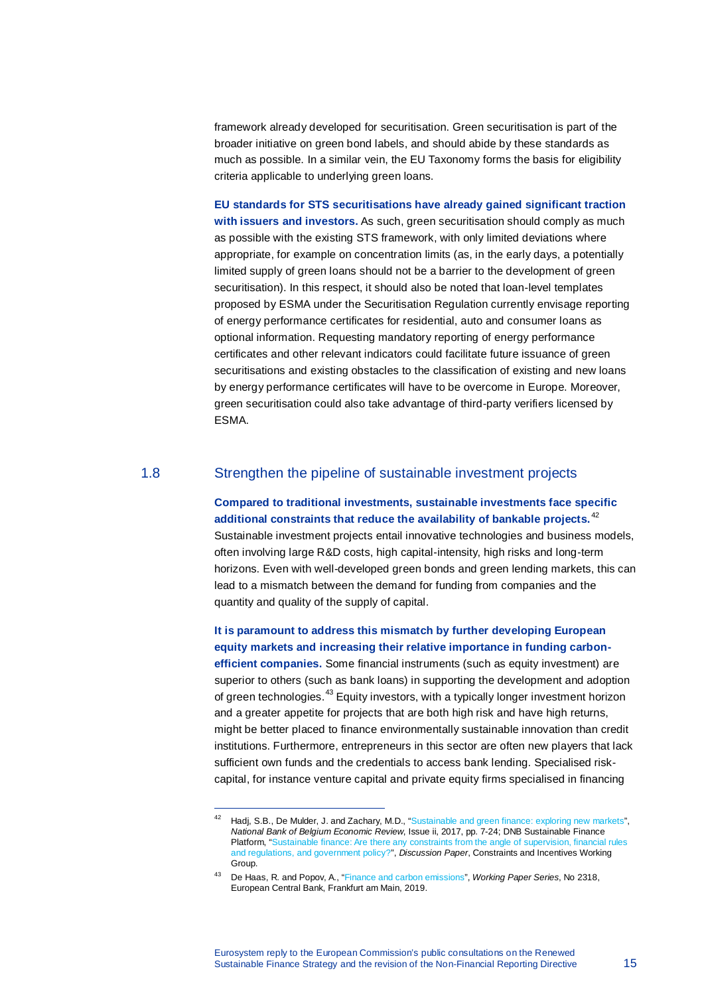framework already developed for securitisation. Green securitisation is part of the broader initiative on green bond labels, and should abide by these standards as much as possible. In a similar vein, the EU Taxonomy forms the basis for eligibility criteria applicable to underlying green loans.

**EU standards for STS securitisations have already gained significant traction**  with issuers and investors. As such, green securitisation should comply as much as possible with the existing STS framework, with only limited deviations where appropriate, for example on concentration limits (as, in the early days, a potentially limited supply of green loans should not be a barrier to the development of green securitisation). In this respect, it should also be noted that loan-level templates proposed by ESMA under the Securitisation Regulation currently envisage reporting of energy performance certificates for residential, auto and consumer loans as optional information. Requesting mandatory reporting of energy performance certificates and other relevant indicators could facilitate future issuance of green securitisations and existing obstacles to the classification of existing and new loans by energy performance certificates will have to be overcome in Europe. Moreover, green securitisation could also take advantage of third-party verifiers licensed by ESMA.

# 1.8 Strengthen the pipeline of sustainable investment projects

**Compared to traditional investments, sustainable investments face specific additional constraints that reduce the availability of bankable projects.** [42](#page-14-0) Sustainable investment projects entail innovative technologies and business models, often involving large R&D costs, high capital-intensity, high risks and long-term horizons. Even with well-developed green bonds and green lending markets, this can lead to a mismatch between the demand for funding from companies and the quantity and quality of the supply of capital.

**It is paramount to address this mismatch by further developing European equity markets and increasing their relative importance in funding carbonefficient companies.** Some financial instruments (such as equity investment) are superior to others (such as bank loans) in supporting the development and adoption of green technologies.[43](#page-14-1) Equity investors, with a typically longer investment horizon and a greater appetite for projects that are both high risk and have high returns, might be better placed to finance environmentally sustainable innovation than credit institutions. Furthermore, entrepreneurs in this sector are often new players that lack sufficient own funds and the credentials to access bank lending. Specialised riskcapital, for instance venture capital and private equity firms specialised in financing

<span id="page-14-0"></span><sup>42</sup> Hadj, S.B., De Mulder, J. and Zachary, M.D., ["Sustainable and green finance: exploring new markets"](https://www.nbb.be/doc/ts/publications/economicreview/2017/ecorevii2017_h1.pdf), *National Bank of Belgium Economic Review*, Issue ii, 2017, pp. 7-24; DNB Sustainable Finance Platform, ["Sustainable finance: Are there any constraints from the angle of supervision, financial rules](https://www.dnb.nl/en/binaries/tt_tcm47-379075.pdf)  [and regulations, and government policy?"](https://www.dnb.nl/en/binaries/tt_tcm47-379075.pdf), *Discussion Paper*, Constraints and Incentives Working Group.

<span id="page-14-1"></span><sup>43</sup> De Haas, R. and Popov, A., ["Finance and carbon emissions"](https://www.ecb.europa.eu/pub/pdf/scpwps/ecb.wp2318%7E44719344e8.en.pdf), *Working Paper Series*, No 2318, European Central Bank, Frankfurt am Main, 2019.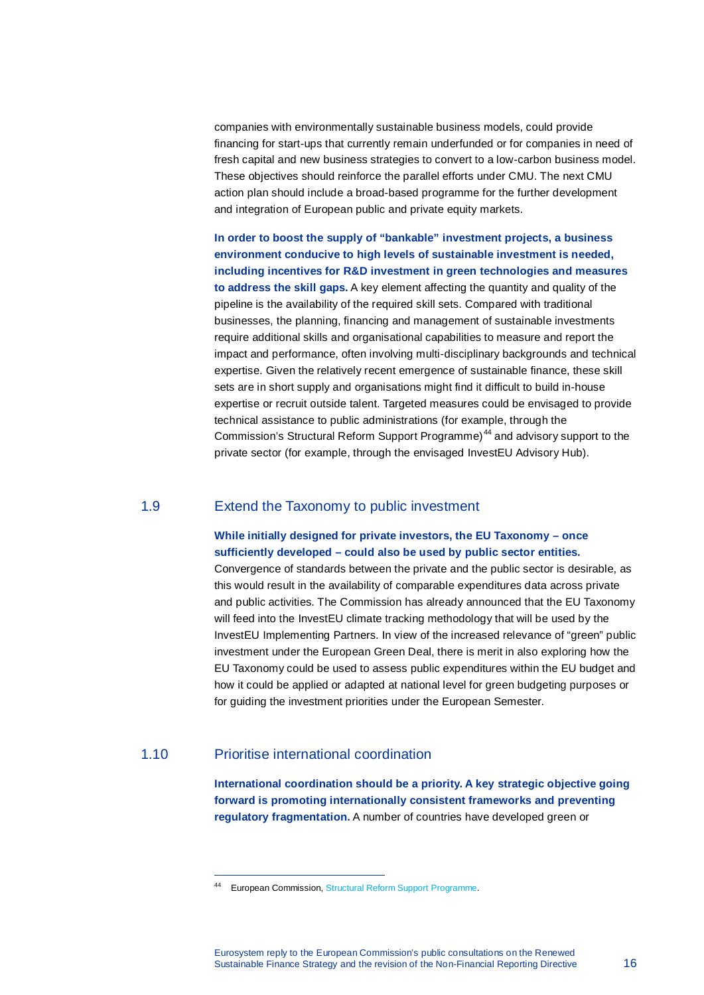companies with environmentally sustainable business models, could provide financing for start-ups that currently remain underfunded or for companies in need of fresh capital and new business strategies to convert to a low-carbon business model. These objectives should reinforce the parallel efforts under CMU. The next CMU action plan should include a broad-based programme for the further development and integration of European public and private equity markets.

**In order to boost the supply of "bankable" investment projects, a business environment conducive to high levels of sustainable investment is needed, including incentives for R&D investment in green technologies and measures to address the skill gaps.** A key element affecting the quantity and quality of the pipeline is the availability of the required skill sets. Compared with traditional businesses, the planning, financing and management of sustainable investments require additional skills and organisational capabilities to measure and report the impact and performance, often involving multi-disciplinary backgrounds and technical expertise. Given the relatively recent emergence of sustainable finance, these skill sets are in short supply and organisations might find it difficult to build in-house expertise or recruit outside talent. Targeted measures could be envisaged to provide technical assistance to public administrations (for example, through the Commission's Structural Reform Support Programme) [44](#page-15-0) and advisory support to the private sector (for example, through the envisaged InvestEU Advisory Hub).

#### 1.9 Extend the Taxonomy to public investment

#### **While initially designed for private investors, the EU Taxonomy – once sufficiently developed – could also be used by public sector entities.**

Convergence of standards between the private and the public sector is desirable, as this would result in the availability of comparable expenditures data across private and public activities. The Commission has already announced that the EU Taxonomy will feed into the InvestEU climate tracking methodology that will be used by the InvestEU Implementing Partners. In view of the increased relevance of "green" public investment under the European Green Deal, there is merit in also exploring how the EU Taxonomy could be used to assess public expenditures within the EU budget and how it could be applied or adapted at national level for green budgeting purposes or for guiding the investment priorities under the European Semester.

### <span id="page-15-0"></span>1.10 Prioritise international coordination

l,

**International coordination should be a priority. A key strategic objective going forward is promoting internationally consistent frameworks and preventing regulatory fragmentation.** A number of countries have developed green or

<sup>44</sup> European Commission[, Structural Reform Support Programme.](https://ec.europa.eu/info/funding-tenders/funding-opportunities/funding-programmes/overview-funding-programmes/structural-reform-support-programme-srsp_en)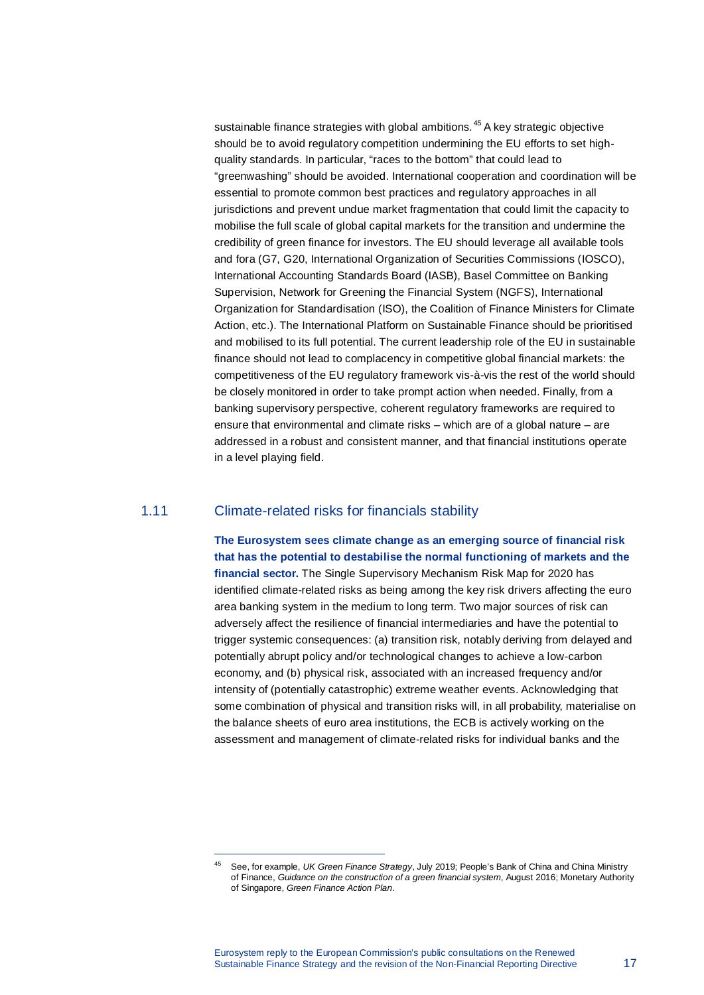sustainable finance strategies with global ambitions.<sup>[45](#page-16-0)</sup> A key strategic objective should be to avoid regulatory competition undermining the EU efforts to set highquality standards. In particular, "races to the bottom" that could lead to "greenwashing" should be avoided. International cooperation and coordination will be essential to promote common best practices and regulatory approaches in all jurisdictions and prevent undue market fragmentation that could limit the capacity to mobilise the full scale of global capital markets for the transition and undermine the credibility of green finance for investors. The EU should leverage all available tools and fora (G7, G20, International Organization of Securities Commissions (IOSCO), International Accounting Standards Board (IASB), Basel Committee on Banking Supervision, Network for Greening the Financial System (NGFS), International Organization for Standardisation (ISO), the Coalition of Finance Ministers for Climate Action, etc.). The International Platform on Sustainable Finance should be prioritised and mobilised to its full potential. The current leadership role of the EU in sustainable finance should not lead to complacency in competitive global financial markets: the competitiveness of the EU regulatory framework vis-à-vis the rest of the world should be closely monitored in order to take prompt action when needed. Finally, from a banking supervisory perspective, coherent regulatory frameworks are required to ensure that environmental and climate risks – which are of a global nature – are addressed in a robust and consistent manner, and that financial institutions operate in a level playing field.

# 1.11 Climate-related risks for financials stability

l,

**The Eurosystem sees climate change as an emerging source of financial risk that has the potential to destabilise the normal functioning of markets and the financial sector.** The Single Supervisory Mechanism Risk Map for 2020 has identified climate-related risks as being among the key risk drivers affecting the euro area banking system in the medium to long term. Two major sources of risk can adversely affect the resilience of financial intermediaries and have the potential to trigger systemic consequences: (a) transition risk, notably deriving from delayed and potentially abrupt policy and/or technological changes to achieve a low-carbon economy, and (b) physical risk, associated with an increased frequency and/or intensity of (potentially catastrophic) extreme weather events. Acknowledging that some combination of physical and transition risks will, in all probability, materialise on the balance sheets of euro area institutions, the ECB is actively working on the assessment and management of climate-related risks for individual banks and the

<span id="page-16-0"></span><sup>45</sup> See, for example, *UK Green Finance Strategy*, July 2019; People's Bank of China and China Ministry of Finance, *Guidance on the construction of a green financial system*, August 2016; Monetary Authority of Singapore, *Green Finance Action Plan*.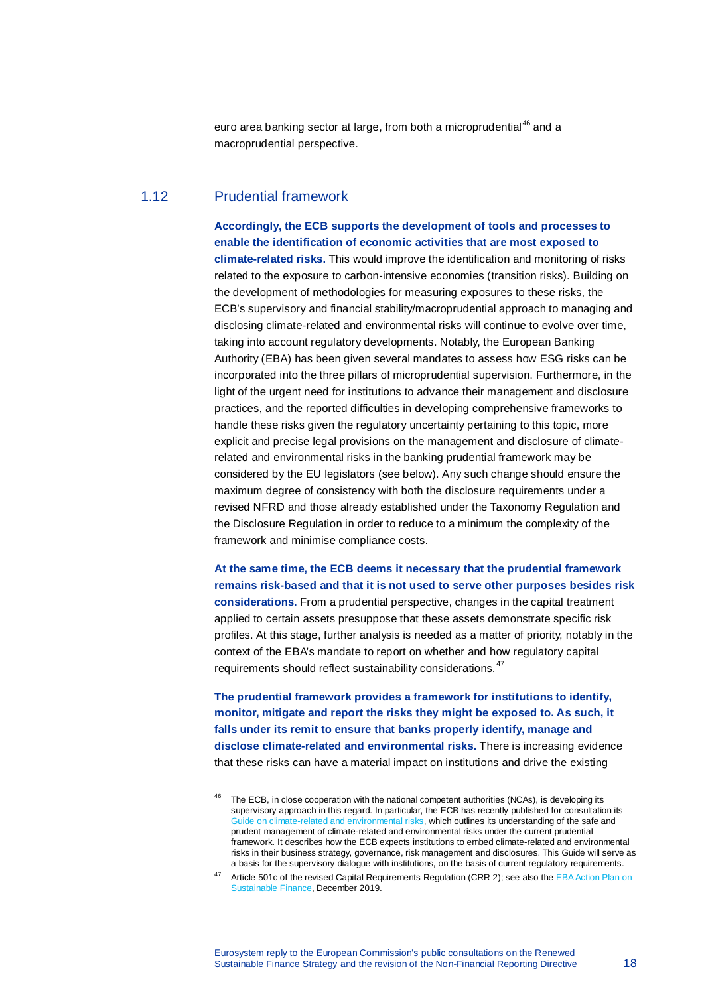euro area banking sector at large, from both a microprudential<sup>[46](#page-17-0)</sup> and a macroprudential perspective.

#### 1.12 Prudential framework

l,

**Accordingly, the ECB supports the development of tools and processes to enable the identification of economic activities that are most exposed to climate-related risks.** This would improve the identification and monitoring of risks related to the exposure to carbon-intensive economies (transition risks). Building on the development of methodologies for measuring exposures to these risks, the ECB's supervisory and financial stability/macroprudential approach to managing and disclosing climate-related and environmental risks will continue to evolve over time, taking into account regulatory developments. Notably, the European Banking Authority (EBA) has been given several mandates to assess how ESG risks can be incorporated into the three pillars of microprudential supervision. Furthermore, in the light of the urgent need for institutions to advance their management and disclosure practices, and the reported difficulties in developing comprehensive frameworks to handle these risks given the regulatory uncertainty pertaining to this topic, more explicit and precise legal provisions on the management and disclosure of climaterelated and environmental risks in the banking prudential framework may be considered by the EU legislators (see below). Any such change should ensure the maximum degree of consistency with both the disclosure requirements under a revised NFRD and those already established under the Taxonomy Regulation and the Disclosure Regulation in order to reduce to a minimum the complexity of the framework and minimise compliance costs.

**At the same time, the ECB deems it necessary that the prudential framework remains risk-based and that it is not used to serve other purposes besides risk considerations.** From a prudential perspective, changes in the capital treatment applied to certain assets presuppose that these assets demonstrate specific risk profiles. At this stage, further analysis is needed as a matter of priority, notably in the context of the EBA's mandate to report on whether and how regulatory capital requirements should reflect sustainability considerations. [47](#page-17-1)

**The prudential framework provides a framework for institutions to identify, monitor, mitigate and report the risks they might be exposed to. As such, it falls under its remit to ensure that banks properly identify, manage and disclose climate-related and environmental risks.** There is increasing evidence that these risks can have a material impact on institutions and drive the existing

<span id="page-17-0"></span> $46$  The ECB, in close cooperation with the national competent authorities (NCAs), is developing its supervisory approach in this regard. In particular, the ECB has recently published for consultation its [Guide on climate-related and environmental risks,](https://www.bankingsupervision.europa.eu/legalframework/publiccons/pdf/climate-related_risks/ssm.202005_draft_guide_on_climate-related_and_environmental_risks.en.pdf) which outlines its understanding of the safe and prudent management of climate-related and environmental risks under the current prudential framework. It describes how the ECB expects institutions to embed climate-related and environmental risks in their business strategy, governance, risk management and disclosures. This Guide will serve as a basis for the supervisory dialogue with institutions, on the basis of current regulatory requirements.

<span id="page-17-1"></span><sup>&</sup>lt;sup>47</sup> Article 501c of the revised Capital Requirements Regulation (CRR 2); see also the EBA Action Plan on [Sustainable Finance,](https://eba.europa.eu/sites/default/documents/files/document_library/EBA%20Action%20plan%20on%20sustainable%20finance.pdf) December 2019.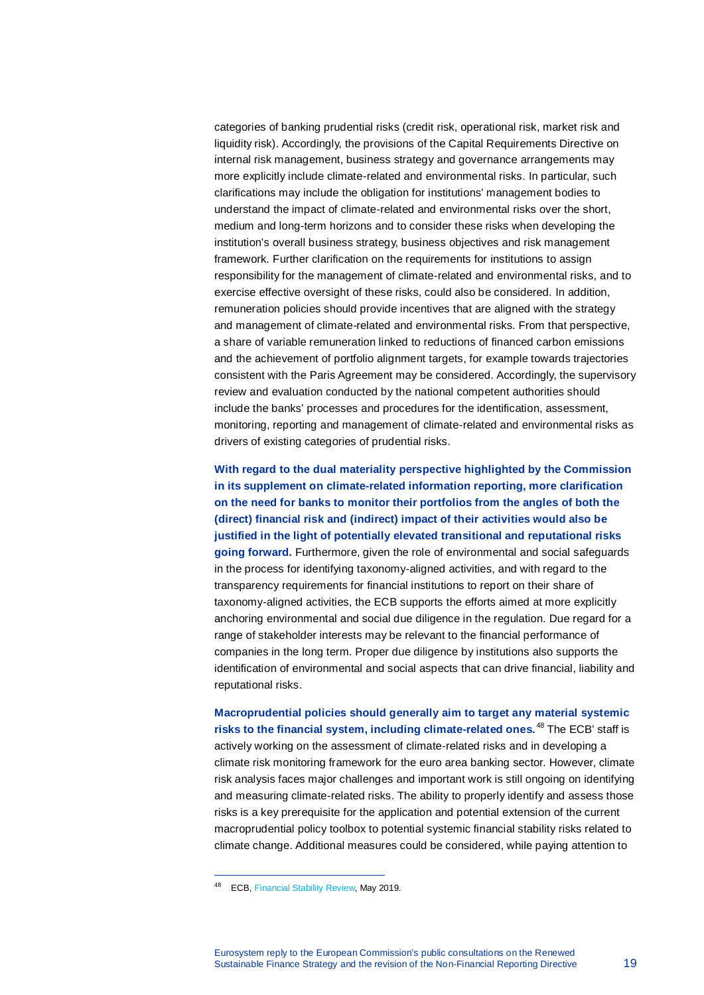categories of banking prudential risks (credit risk, operational risk, market risk and liquidity risk). Accordingly, the provisions of the Capital Requirements Directive on internal risk management, business strategy and governance arrangements may more explicitly include climate-related and environmental risks. In particular, such clarifications may include the obligation for institutions' management bodies to understand the impact of climate-related and environmental risks over the short, medium and long-term horizons and to consider these risks when developing the institution's overall business strategy, business objectives and risk management framework. Further clarification on the requirements for institutions to assign responsibility for the management of climate-related and environmental risks, and to exercise effective oversight of these risks, could also be considered. In addition, remuneration policies should provide incentives that are aligned with the strategy and management of climate-related and environmental risks. From that perspective, a share of variable remuneration linked to reductions of financed carbon emissions and the achievement of portfolio alignment targets, for example towards trajectories consistent with the Paris Agreement may be considered. Accordingly, the supervisory review and evaluation conducted by the national competent authorities should include the banks' processes and procedures for the identification, assessment, monitoring, reporting and management of climate-related and environmental risks as drivers of existing categories of prudential risks.

**With regard to the dual materiality perspective highlighted by the Commission in its supplement on climate-related information reporting, more clarification on the need for banks to monitor their portfolios from the angles of both the (direct) financial risk and (indirect) impact of their activities would also be justified in the light of potentially elevated transitional and reputational risks going forward.** Furthermore, given the role of environmental and social safeguards in the process for identifying taxonomy-aligned activities, and with regard to the transparency requirements for financial institutions to report on their share of taxonomy-aligned activities, the ECB supports the efforts aimed at more explicitly anchoring environmental and social due diligence in the regulation. Due regard for a range of stakeholder interests may be relevant to the financial performance of companies in the long term. Proper due diligence by institutions also supports the identification of environmental and social aspects that can drive financial, liability and reputational risks.

**Macroprudential policies should generally aim to target any material systemic risks to the financial system, including climate-related ones.** [48](#page-18-0) The ECB' staff is actively working on the assessment of climate-related risks and in developing a climate risk monitoring framework for the euro area banking sector. However, climate risk analysis faces major challenges and important work is still ongoing on identifying and measuring climate-related risks. The ability to properly identify and assess those risks is a key prerequisite for the application and potential extension of the current macroprudential policy toolbox to potential systemic financial stability risks related to climate change. Additional measures could be considered, while paying attention to

<span id="page-18-0"></span><sup>48</sup> ECB[, Financial Stability Review,](https://www.ecb.europa.eu/pub/pdf/fsr/ecb.fsr201905%7E266e856634.en.pdf) May 2019.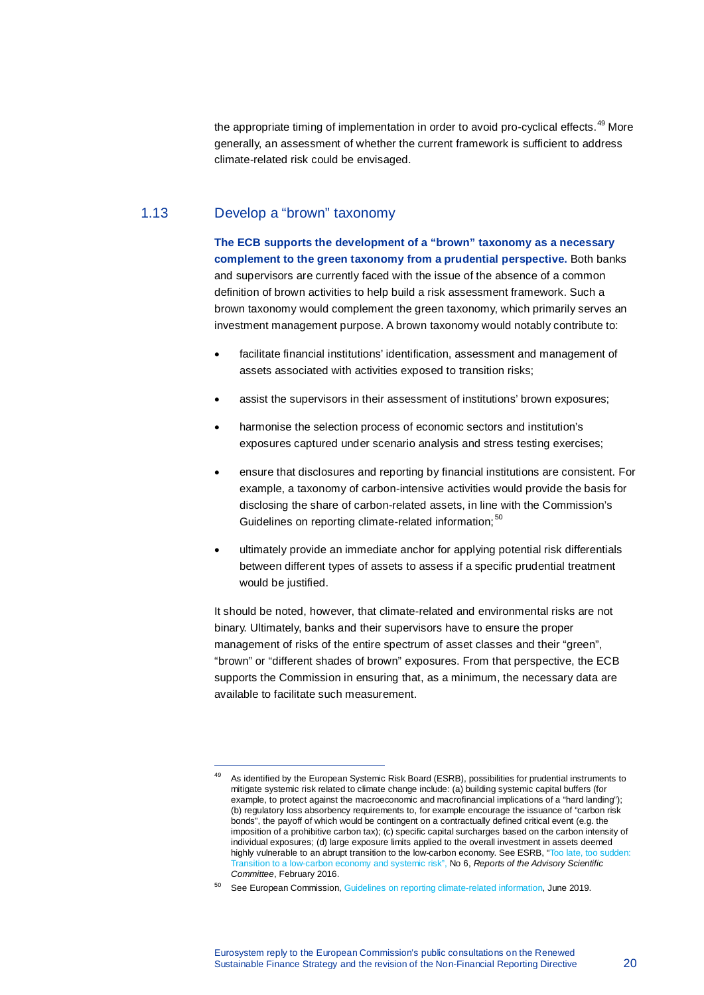the appropriate timing of implementation in order to avoid pro-cyclical effects.<sup>[49](#page-19-0)</sup> More generally, an assessment of whether the current framework is sufficient to address climate-related risk could be envisaged.

# 1.13 Develop a "brown" taxonomy

l,

**The ECB supports the development of a "brown" taxonomy as a necessary complement to the green taxonomy from a prudential perspective.** Both banks and supervisors are currently faced with the issue of the absence of a common definition of brown activities to help build a risk assessment framework. Such a brown taxonomy would complement the green taxonomy, which primarily serves an investment management purpose. A brown taxonomy would notably contribute to:

- facilitate financial institutions' identification, assessment and management of assets associated with activities exposed to transition risks;
- assist the supervisors in their assessment of institutions' brown exposures;
- harmonise the selection process of economic sectors and institution's exposures captured under scenario analysis and stress testing exercises;
- ensure that disclosures and reporting by financial institutions are consistent. For example, a taxonomy of carbon-intensive activities would provide the basis for disclosing the share of carbon-related assets, in line with the Commission's Guidelines on reporting climate-related information;<sup>[50](#page-19-1)</sup>
- ultimately provide an immediate anchor for applying potential risk differentials between different types of assets to assess if a specific prudential treatment would be justified.

It should be noted, however, that climate-related and environmental risks are not binary. Ultimately, banks and their supervisors have to ensure the proper management of risks of the entire spectrum of asset classes and their "green", "brown" or "different shades of brown" exposures. From that perspective, the ECB supports the Commission in ensuring that, as a minimum, the necessary data are available to facilitate such measurement.

<span id="page-19-0"></span><sup>&</sup>lt;sup>49</sup> As identified by the European Systemic Risk Board (ESRB), possibilities for prudential instruments to mitigate systemic risk related to climate change include: (a) building systemic capital buffers (for example, to protect against the macroeconomic and macrofinancial implications of a "hard landing"); (b) regulatory loss absorbency requirements to, for example encourage the issuance of "carbon risk bonds", the payoff of which would be contingent on a contractually defined critical event (e.g. the imposition of a prohibitive carbon tax); (c) specific capital surcharges based on the carbon intensity of individual exposures; (d) large exposure limits applied to the overall investment in assets deemed highly vulnerable to an abrupt transition to the low-carbon economy. See ESRB, "Too late, too sudden: [Transition to a low-carbon economy and systemic risk"](https://www.esrb.europa.eu/pub/pdf/asc/Reports_ASC_6_1602.pdf), No 6, *Reports of the Advisory Scientific Committee*, February 2016.

<span id="page-19-1"></span><sup>50</sup> See European Commission[, Guidelines on reporting climate-related information,](https://ec.europa.eu/finance/docs/policy/190618-climate-related-information-reporting-guidelines_en.pdf) June 2019.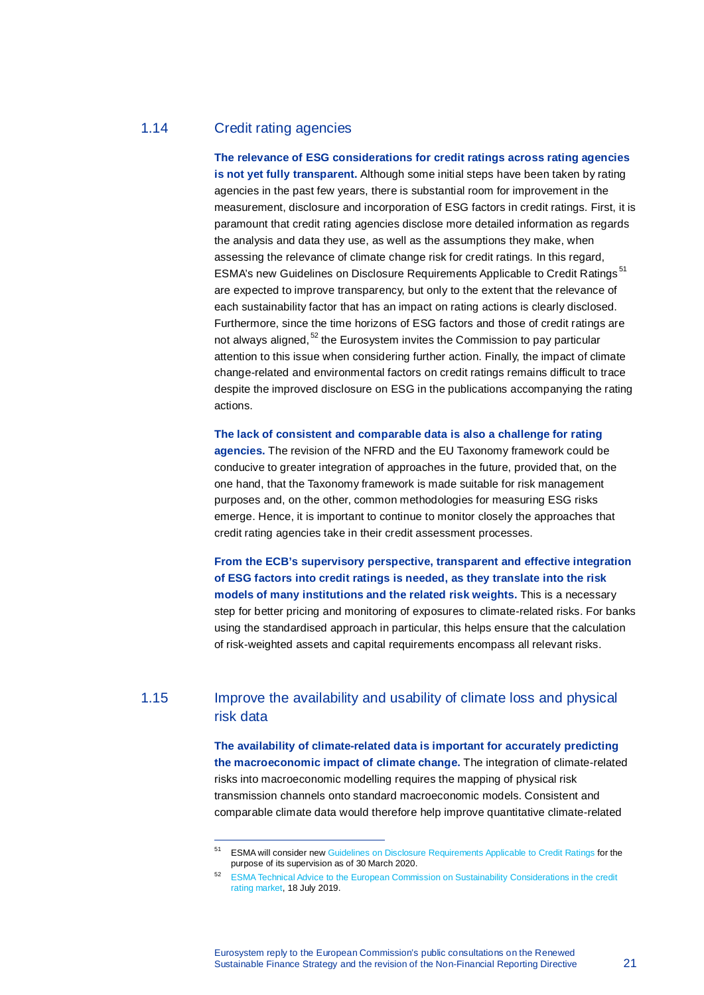# 1.14 Credit rating agencies

l,

**The relevance of ESG considerations for credit ratings across rating agencies is not yet fully transparent.** Although some initial steps have been taken by rating agencies in the past few years, there is substantial room for improvement in the measurement, disclosure and incorporation of ESG factors in credit ratings. First, it is paramount that credit rating agencies disclose more detailed information as regards the analysis and data they use, as well as the assumptions they make, when assessing the relevance of climate change risk for credit ratings. In this regard, ESMA's new Guidelines on Disclosure Requirements Applicable to Credit Ratings [51](#page-20-0) are expected to improve transparency, but only to the extent that the relevance of each sustainability factor that has an impact on rating actions is clearly disclosed. Furthermore, since the time horizons of ESG factors and those of credit ratings are not always aligned,  $52$  the Eurosystem invites the Commission to pay particular attention to this issue when considering further action. Finally, the impact of climate change-related and environmental factors on credit ratings remains difficult to trace despite the improved disclosure on ESG in the publications accompanying the rating actions.

**The lack of consistent and comparable data is also a challenge for rating agencies.** The revision of the NFRD and the EU Taxonomy framework could be conducive to greater integration of approaches in the future, provided that, on the one hand, that the Taxonomy framework is made suitable for risk management purposes and, on the other, common methodologies for measuring ESG risks emerge. Hence, it is important to continue to monitor closely the approaches that credit rating agencies take in their credit assessment processes.

**From the ECB's supervisory perspective, transparent and effective integration of ESG factors into credit ratings is needed, as they translate into the risk models of many institutions and the related risk weights.** This is a necessary step for better pricing and monitoring of exposures to climate-related risks. For banks using the standardised approach in particular, this helps ensure that the calculation of risk-weighted assets and capital requirements encompass all relevant risks.

# <span id="page-20-0"></span>1.15 Improve the availability and usability of climate loss and physical risk data

**The availability of climate-related data is important for accurately predicting the macroeconomic impact of climate change.** The integration of climate-related risks into macroeconomic modelling requires the mapping of physical risk transmission channels onto standard macroeconomic models. Consistent and comparable climate data would therefore help improve quantitative climate-related

<sup>51</sup> ESMA will consider ne[w Guidelines on Disclosure Requirements Applicable to Credit Ratings](https://www.esma.europa.eu/sites/default/files/library/esma33-9-320_final_report_guidelines_on_disclosure_requirements_applicable_to_credit_rating_agencies.pdf) for the purpose of its supervision as of 30 March 2020.

<span id="page-20-1"></span><sup>52</sup> [ESMA Technical Advice to the European Commission on Sustainability Considerations in the credit](https://www.esma.europa.eu/sites/default/files/library/esma33-9-321_technical_advice_on_sustainability_considerations_in_the_credit_rating_market.pdf)  [rating market,](https://www.esma.europa.eu/sites/default/files/library/esma33-9-321_technical_advice_on_sustainability_considerations_in_the_credit_rating_market.pdf) 18 July 2019.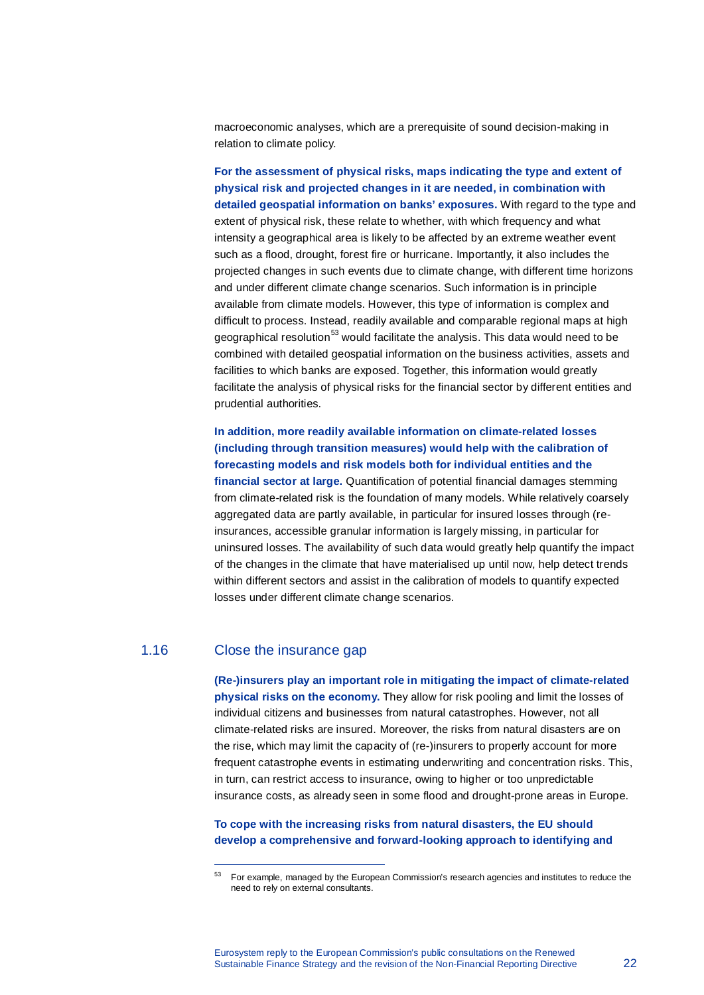macroeconomic analyses, which are a prerequisite of sound decision-making in relation to climate policy.

**For the assessment of physical risks, maps indicating the type and extent of physical risk and projected changes in it are needed, in combination with detailed geospatial information on banks' exposures.** With regard to the type and extent of physical risk, these relate to whether, with which frequency and what intensity a geographical area is likely to be affected by an extreme weather event such as a flood, drought, forest fire or hurricane. Importantly, it also includes the projected changes in such events due to climate change, with different time horizons and under different climate change scenarios. Such information is in principle available from climate models. However, this type of information is complex and difficult to process. Instead, readily available and comparable regional maps at high geographical resolution<sup>[53](#page-21-0)</sup> would facilitate the analysis. This data would need to be combined with detailed geospatial information on the business activities, assets and facilities to which banks are exposed. Together, this information would greatly facilitate the analysis of physical risks for the financial sector by different entities and prudential authorities.

**In addition, more readily available information on climate-related losses (including through transition measures) would help with the calibration of forecasting models and risk models both for individual entities and the financial sector at large.** Quantification of potential financial damages stemming from climate-related risk is the foundation of many models. While relatively coarsely aggregated data are partly available, in particular for insured losses through (reinsurances, accessible granular information is largely missing, in particular for uninsured losses. The availability of such data would greatly help quantify the impact of the changes in the climate that have materialised up until now, help detect trends within different sectors and assist in the calibration of models to quantify expected losses under different climate change scenarios.

### 1.16 Close the insurance gap

l,

**(Re-)insurers play an important role in mitigating the impact of climate-related physical risks on the economy.** They allow for risk pooling and limit the losses of individual citizens and businesses from natural catastrophes. However, not all climate-related risks are insured. Moreover, the risks from natural disasters are on the rise, which may limit the capacity of (re-)insurers to properly account for more frequent catastrophe events in estimating underwriting and concentration risks. This, in turn, can restrict access to insurance, owing to higher or too unpredictable insurance costs, as already seen in some flood and drought-prone areas in Europe.

#### **To cope with the increasing risks from natural disasters, the EU should develop a comprehensive and forward-looking approach to identifying and**

<span id="page-21-0"></span><sup>53</sup> For example, managed by the European Commission's research agencies and institutes to reduce the need to rely on external consultants.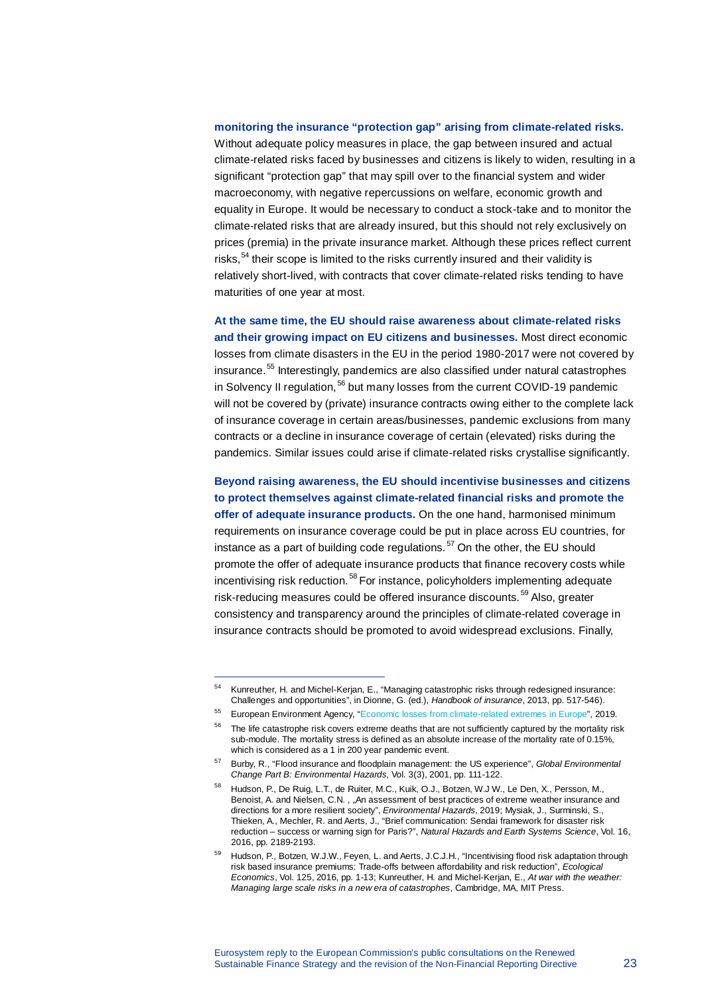#### **monitoring the insurance "protection gap" arising from climate-related risks.**

Without adequate policy measures in place, the gap between insured and actual climate-related risks faced by businesses and citizens is likely to widen, resulting in a significant "protection gap" that may spill over to the financial system and wider macroeconomy, with negative repercussions on welfare, economic growth and equality in Europe. It would be necessary to conduct a stock-take and to monitor the climate-related risks that are already insured, but this should not rely exclusively on prices (premia) in the private insurance market. Although these prices reflect current risks,  $54$  their scope is limited to the risks currently insured and their validity is relatively short-lived, with contracts that cover climate-related risks tending to have maturities of one year at most.

**At the same time, the EU should raise awareness about climate-related risks and their growing impact on EU citizens and businesses.** Most direct economic losses from climate disasters in the EU in the period 1980-2017 were not covered by insurance.<sup>[55](#page-22-1)</sup> Interestingly, pandemics are also classified under natural catastrophes in Solvency II regulation,<sup>[56](#page-22-2)</sup> but many losses from the current COVID-19 pandemic will not be covered by (private) insurance contracts owing either to the complete lack of insurance coverage in certain areas/businesses, pandemic exclusions from many contracts or a decline in insurance coverage of certain (elevated) risks during the pandemics. Similar issues could arise if climate-related risks crystallise significantly.

**Beyond raising awareness, the EU should incentivise businesses and citizens to protect themselves against climate-related financial risks and promote the offer of adequate insurance products.** On the one hand, harmonised minimum requirements on insurance coverage could be put in place across EU countries, for instance as a part of building code regulations.<sup>[57](#page-22-3)</sup> On the other, the EU should promote the offer of adequate insurance products that finance recovery costs while incentivising risk reduction.<sup>[58](#page-22-4)</sup> For instance, policyholders implementing adequate risk-reducing measures could be offered insurance discounts.<sup>[59](#page-22-5)</sup> Also, greater consistency and transparency around the principles of climate-related coverage in insurance contracts should be promoted to avoid widespread exclusions. Finally,

Kunreuther, H. and Michel-Kerjan, E., "Managing catastrophic risks through redesigned insurance: Challenges and opportunities", in Dionne, G. (ed.), *Handbook of insurance*, 2013, pp. 517-546).

<span id="page-22-1"></span><span id="page-22-0"></span><sup>55</sup> European Environment Agency, ["Economic losses from climate-related extremes in Europe"](https://www.eea.europa.eu/data-and-maps/indicators/direct-losses-from-weather-disasters-3/assessment-2), 2019.

<span id="page-22-2"></span> $56$  The life catastrophe risk covers extreme deaths that are not sufficiently captured by the mortality risk sub-module. The mortality stress is defined as an absolute increase of the mortality rate of 0.15%, which is considered as a 1 in 200 year pandemic event.

<span id="page-22-3"></span><sup>57</sup> Burby, R., "Flood insurance and floodplain management: the US experience", *Global Environmental Change Part B: Environmental Hazards*, Vol. 3(3), 2001, pp. 111-122.

<span id="page-22-4"></span>Hudson, P., De Ruig, L.T., de Ruiter, M.C., Kuik, O.J., Botzen, W.J W., Le Den, X., Persson, M., Benoist, A. and Nielsen, C.N. , "An assessment of best practices of extreme weather insurance and directions for a more resilient society", *Environmental Hazards*, 2019; Mysiak, J., Surminski, S., Thieken, A., Mechler, R. and Aerts, J., "Brief communication: Sendai framework for disaster risk reduction – success or warning sign for Paris?", *Natural Hazards and Earth Systems Science*, Vol. 16, 2016, pp. 2189-2193.

<span id="page-22-5"></span>Hudson, P., Botzen, W.J.W., Feyen, L. and Aerts, J.C.J.H., "Incentivising flood risk adaptation through risk based insurance premiums: Trade-offs between affordability and risk reduction", *Ecological Economics*, Vol. 125, 2016, pp. 1-13; Kunreuther, H. and Michel-Kerjan, E., *At war with the weather: Managing large scale risks in a new era of catastrophes*, Cambridge, MA, MIT Press.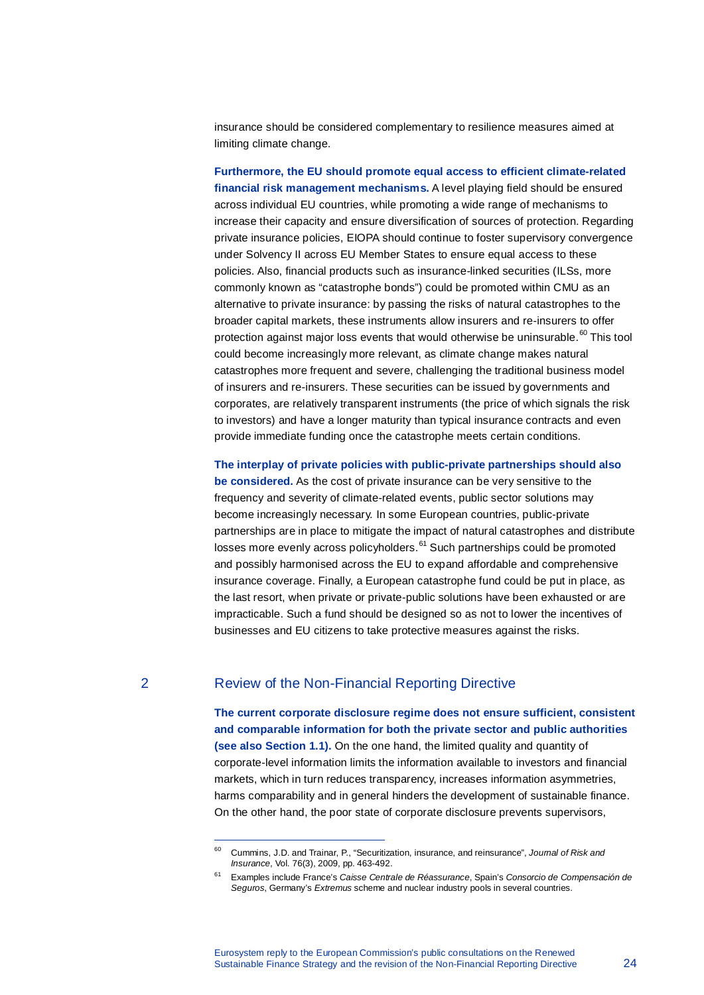insurance should be considered complementary to resilience measures aimed at limiting climate change.

**Furthermore, the EU should promote equal access to efficient climate-related financial risk management mechanisms.** A level playing field should be ensured across individual EU countries, while promoting a wide range of mechanisms to increase their capacity and ensure diversification of sources of protection. Regarding private insurance policies, EIOPA should continue to foster supervisory convergence under Solvency II across EU Member States to ensure equal access to these policies. Also, financial products such as insurance-linked securities (ILSs, more commonly known as "catastrophe bonds") could be promoted within CMU as an alternative to private insurance: by passing the risks of natural catastrophes to the broader capital markets, these instruments allow insurers and re-insurers to offer protection against major loss events that would otherwise be uninsurable.<sup>[60](#page-23-0)</sup> This tool could become increasingly more relevant, as climate change makes natural catastrophes more frequent and severe, challenging the traditional business model of insurers and re-insurers. These securities can be issued by governments and corporates, are relatively transparent instruments (the price of which signals the risk to investors) and have a longer maturity than typical insurance contracts and even provide immediate funding once the catastrophe meets certain conditions.

**The interplay of private policies with public-private partnerships should also be considered.** As the cost of private insurance can be very sensitive to the frequency and severity of climate-related events, public sector solutions may become increasingly necessary. In some European countries, public-private partnerships are in place to mitigate the impact of natural catastrophes and distribute losses more evenly across policyholders.<sup>[61](#page-23-1)</sup> Such partnerships could be promoted and possibly harmonised across the EU to expand affordable and comprehensive insurance coverage. Finally, a European catastrophe fund could be put in place, as the last resort, when private or private-public solutions have been exhausted or are impracticable. Such a fund should be designed so as not to lower the incentives of businesses and EU citizens to take protective measures against the risks.

l,

#### 2 Review of the Non-Financial Reporting Directive

**The current corporate disclosure regime does not ensure sufficient, consistent and comparable information for both the private sector and public authorities (see also Section 1.1).** On the one hand, the limited quality and quantity of corporate-level information limits the information available to investors and financial markets, which in turn reduces transparency, increases information asymmetries, harms comparability and in general hinders the development of sustainable finance. On the other hand, the poor state of corporate disclosure prevents supervisors,

<span id="page-23-0"></span><sup>60</sup> Cummins, J.D. and Trainar, P., "Securitization, insurance, and reinsurance", *Journal of Risk and Insurance*, Vol. 76(3), 2009, pp. 463-492.

<span id="page-23-1"></span><sup>61</sup> Examples include France's *Caisse Centrale de Réassurance*, Spain's *Consorcio de Compensación de Seguros*, Germany's *Extremus* scheme and nuclear industry pools in several countries.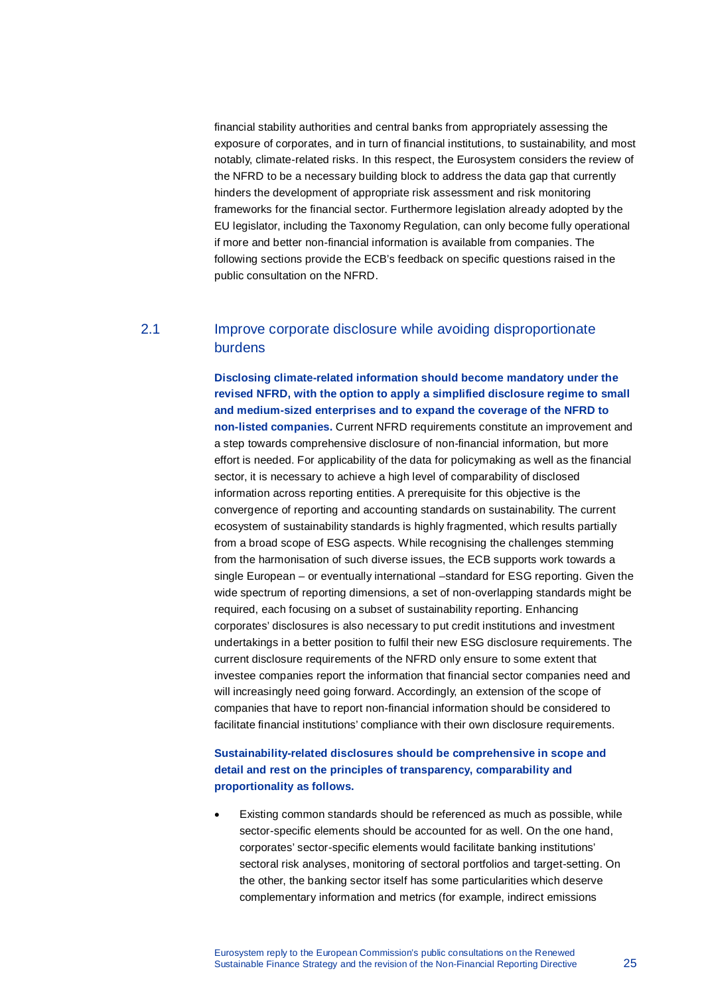financial stability authorities and central banks from appropriately assessing the exposure of corporates, and in turn of financial institutions, to sustainability, and most notably, climate-related risks. In this respect, the Eurosystem considers the review of the NFRD to be a necessary building block to address the data gap that currently hinders the development of appropriate risk assessment and risk monitoring frameworks for the financial sector. Furthermore legislation already adopted by the EU legislator, including the Taxonomy Regulation, can only become fully operational if more and better non-financial information is available from companies. The following sections provide the ECB's feedback on specific questions raised in the public consultation on the NFRD.

# 2.1 Improve corporate disclosure while avoiding disproportionate burdens

**Disclosing climate-related information should become mandatory under the revised NFRD, with the option to apply a simplified disclosure regime to small and medium-sized enterprises and to expand the coverage of the NFRD to non-listed companies.** Current NFRD requirements constitute an improvement and a step towards comprehensive disclosure of non-financial information, but more effort is needed. For applicability of the data for policymaking as well as the financial sector, it is necessary to achieve a high level of comparability of disclosed information across reporting entities. A prerequisite for this objective is the convergence of reporting and accounting standards on sustainability. The current ecosystem of sustainability standards is highly fragmented, which results partially from a broad scope of ESG aspects. While recognising the challenges stemming from the harmonisation of such diverse issues, the ECB supports work towards a single European – or eventually international –standard for ESG reporting. Given the wide spectrum of reporting dimensions, a set of non-overlapping standards might be required, each focusing on a subset of sustainability reporting. Enhancing corporates' disclosures is also necessary to put credit institutions and investment undertakings in a better position to fulfil their new ESG disclosure requirements. The current disclosure requirements of the NFRD only ensure to some extent that investee companies report the information that financial sector companies need and will increasingly need going forward. Accordingly, an extension of the scope of companies that have to report non-financial information should be considered to facilitate financial institutions' compliance with their own disclosure requirements.

#### **Sustainability-related disclosures should be comprehensive in scope and detail and rest on the principles of transparency, comparability and proportionality as follows.**

• Existing common standards should be referenced as much as possible, while sector-specific elements should be accounted for as well. On the one hand, corporates' sector-specific elements would facilitate banking institutions' sectoral risk analyses, monitoring of sectoral portfolios and target-setting. On the other, the banking sector itself has some particularities which deserve complementary information and metrics (for example, indirect emissions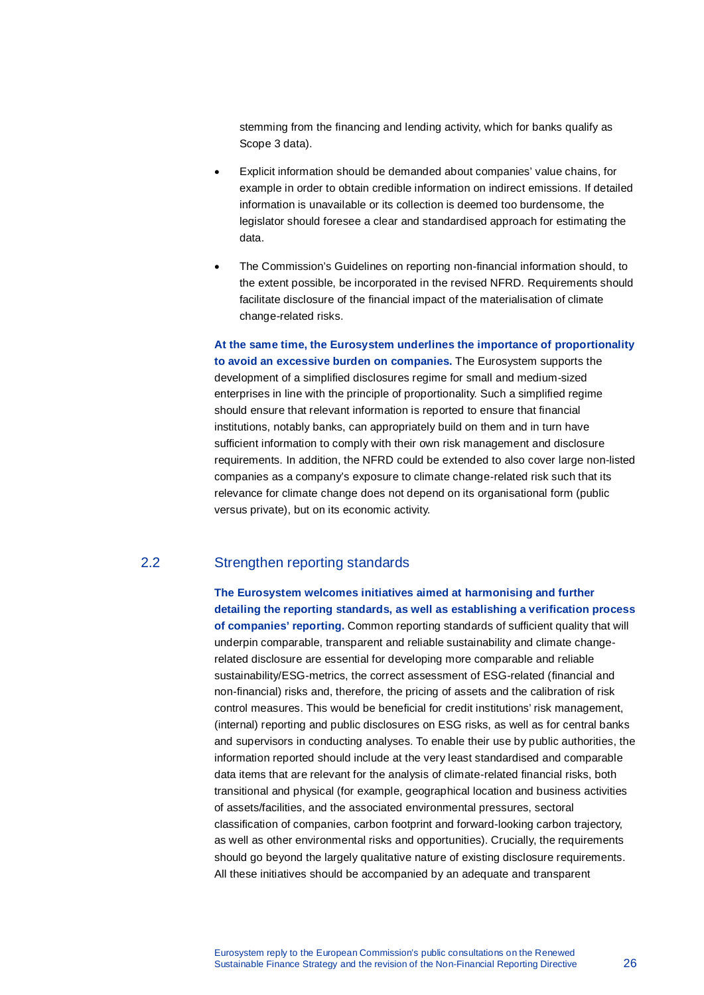stemming from the financing and lending activity, which for banks qualify as Scope 3 data).

- Explicit information should be demanded about companies' value chains, for example in order to obtain credible information on indirect emissions. If detailed information is unavailable or its collection is deemed too burdensome, the legislator should foresee a clear and standardised approach for estimating the data.
- The Commission's Guidelines on reporting non-financial information should, to the extent possible, be incorporated in the revised NFRD. Requirements should facilitate disclosure of the financial impact of the materialisation of climate change-related risks.

**At the same time, the Eurosystem underlines the importance of proportionality to avoid an excessive burden on companies.** The Eurosystem supports the development of a simplified disclosures regime for small and medium-sized enterprises in line with the principle of proportionality. Such a simplified regime should ensure that relevant information is reported to ensure that financial institutions, notably banks, can appropriately build on them and in turn have sufficient information to comply with their own risk management and disclosure requirements. In addition, the NFRD could be extended to also cover large non-listed companies as a company's exposure to climate change-related risk such that its relevance for climate change does not depend on its organisational form (public versus private), but on its economic activity.

# 2.2 Strengthen reporting standards

**The Eurosystem welcomes initiatives aimed at harmonising and further detailing the reporting standards, as well as establishing a verification process of companies' reporting.** Common reporting standards of sufficient quality that will underpin comparable, transparent and reliable sustainability and climate changerelated disclosure are essential for developing more comparable and reliable sustainability/ESG-metrics, the correct assessment of ESG-related (financial and non-financial) risks and, therefore, the pricing of assets and the calibration of risk control measures. This would be beneficial for credit institutions' risk management, (internal) reporting and public disclosures on ESG risks, as well as for central banks and supervisors in conducting analyses. To enable their use by public authorities, the information reported should include at the very least standardised and comparable data items that are relevant for the analysis of climate-related financial risks, both transitional and physical (for example, geographical location and business activities of assets/facilities, and the associated environmental pressures, sectoral classification of companies, carbon footprint and forward-looking carbon trajectory, as well as other environmental risks and opportunities). Crucially, the requirements should go beyond the largely qualitative nature of existing disclosure requirements. All these initiatives should be accompanied by an adequate and transparent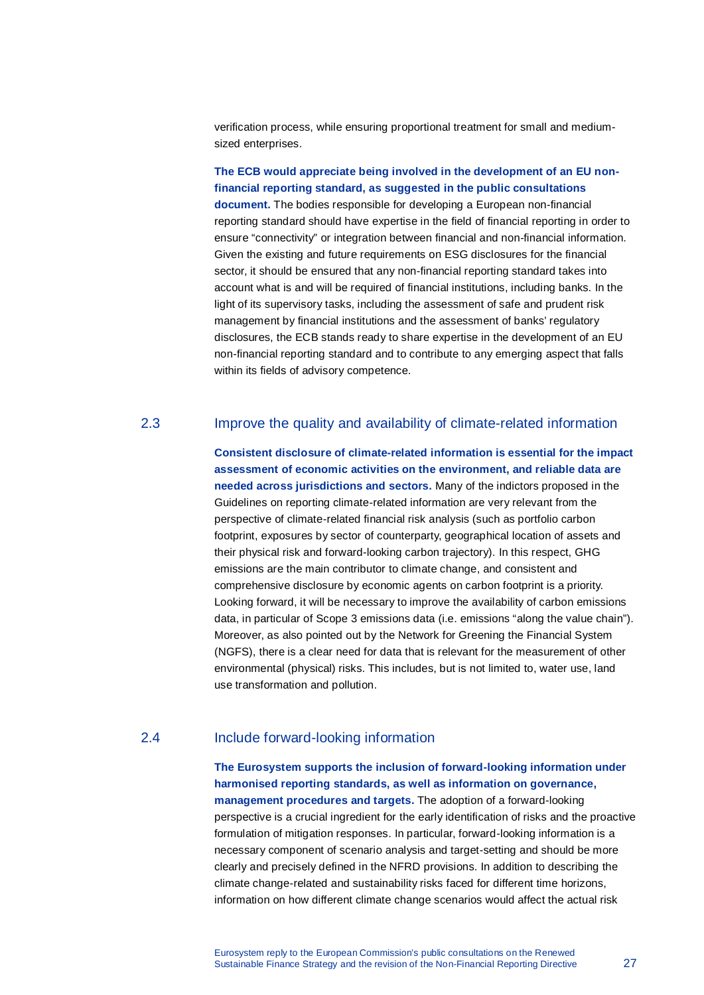verification process, while ensuring proportional treatment for small and mediumsized enterprises.

#### **The ECB would appreciate being involved in the development of an EU nonfinancial reporting standard, as suggested in the public consultations**

**document.** The bodies responsible for developing a European non-financial reporting standard should have expertise in the field of financial reporting in order to ensure "connectivity" or integration between financial and non-financial information. Given the existing and future requirements on ESG disclosures for the financial sector, it should be ensured that any non-financial reporting standard takes into account what is and will be required of financial institutions, including banks. In the light of its supervisory tasks, including the assessment of safe and prudent risk management by financial institutions and the assessment of banks' regulatory disclosures, the ECB stands ready to share expertise in the development of an EU non-financial reporting standard and to contribute to any emerging aspect that falls within its fields of advisory competence.

#### 2.3 Improve the quality and availability of climate-related information

**Consistent disclosure of climate-related information is essential for the impact assessment of economic activities on the environment, and reliable data are needed across jurisdictions and sectors.** Many of the indictors proposed in the Guidelines on reporting climate-related information are very relevant from the perspective of climate-related financial risk analysis (such as portfolio carbon footprint, exposures by sector of counterparty, geographical location of assets and their physical risk and forward-looking carbon trajectory). In this respect, GHG emissions are the main contributor to climate change, and consistent and comprehensive disclosure by economic agents on carbon footprint is a priority. Looking forward, it will be necessary to improve the availability of carbon emissions data, in particular of Scope 3 emissions data (i.e. emissions "along the value chain"). Moreover, as also pointed out by the Network for Greening the Financial System (NGFS), there is a clear need for data that is relevant for the measurement of other environmental (physical) risks. This includes, but is not limited to, water use, land use transformation and pollution.

#### 2.4 Include forward-looking information

**The Eurosystem supports the inclusion of forward-looking information under harmonised reporting standards, as well as information on governance, management procedures and targets.** The adoption of a forward-looking perspective is a crucial ingredient for the early identification of risks and the proactive formulation of mitigation responses. In particular, forward-looking information is a necessary component of scenario analysis and target-setting and should be more clearly and precisely defined in the NFRD provisions. In addition to describing the climate change-related and sustainability risks faced for different time horizons, information on how different climate change scenarios would affect the actual risk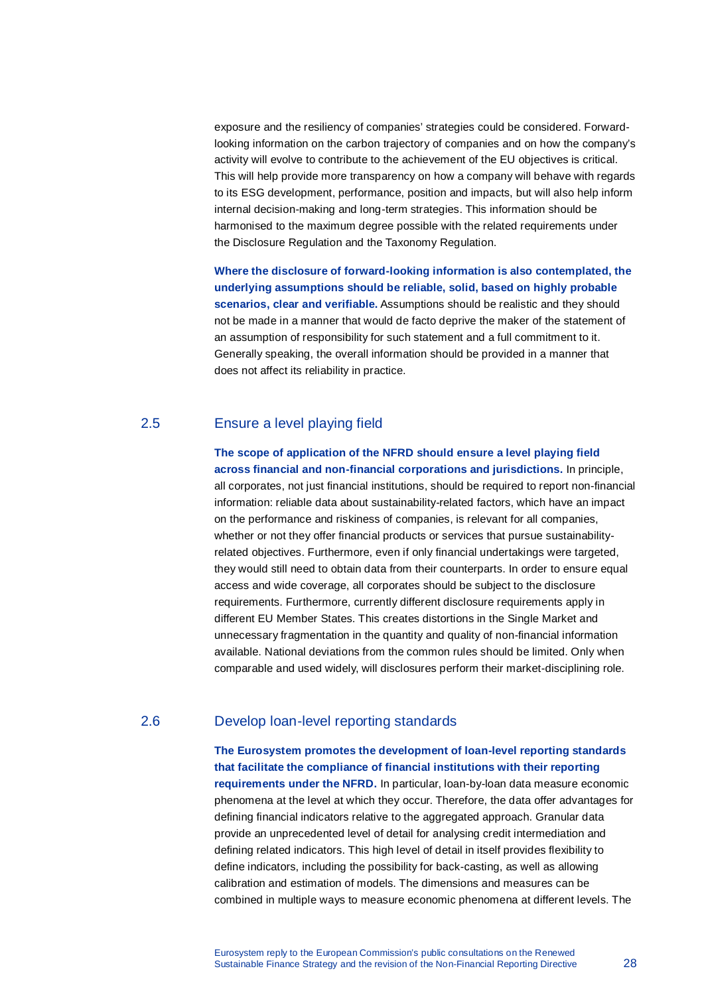exposure and the resiliency of companies' strategies could be considered. Forwardlooking information on the carbon trajectory of companies and on how the company's activity will evolve to contribute to the achievement of the EU objectives is critical. This will help provide more transparency on how a company will behave with regards to its ESG development, performance, position and impacts, but will also help inform internal decision-making and long-term strategies. This information should be harmonised to the maximum degree possible with the related requirements under the Disclosure Regulation and the Taxonomy Regulation.

**Where the disclosure of forward-looking information is also contemplated, the underlying assumptions should be reliable, solid, based on highly probable scenarios, clear and verifiable.** Assumptions should be realistic and they should not be made in a manner that would de facto deprive the maker of the statement of an assumption of responsibility for such statement and a full commitment to it. Generally speaking, the overall information should be provided in a manner that does not affect its reliability in practice.

# 2.5 Ensure a level playing field

**The scope of application of the NFRD should ensure a level playing field across financial and non-financial corporations and jurisdictions.** In principle, all corporates, not just financial institutions, should be required to report non-financial information: reliable data about sustainability-related factors, which have an impact on the performance and riskiness of companies, is relevant for all companies, whether or not they offer financial products or services that pursue sustainabilityrelated objectives. Furthermore, even if only financial undertakings were targeted, they would still need to obtain data from their counterparts. In order to ensure equal access and wide coverage, all corporates should be subject to the disclosure requirements. Furthermore, currently different disclosure requirements apply in different EU Member States. This creates distortions in the Single Market and unnecessary fragmentation in the quantity and quality of non-financial information available. National deviations from the common rules should be limited. Only when comparable and used widely, will disclosures perform their market-disciplining role.

# 2.6 Develop loan-level reporting standards

**The Eurosystem promotes the development of loan-level reporting standards that facilitate the compliance of financial institutions with their reporting requirements under the NFRD.** In particular, loan-by-loan data measure economic phenomena at the level at which they occur. Therefore, the data offer advantages for defining financial indicators relative to the aggregated approach. Granular data provide an unprecedented level of detail for analysing credit intermediation and defining related indicators. This high level of detail in itself provides flexibility to define indicators, including the possibility for back-casting, as well as allowing calibration and estimation of models. The dimensions and measures can be combined in multiple ways to measure economic phenomena at different levels. The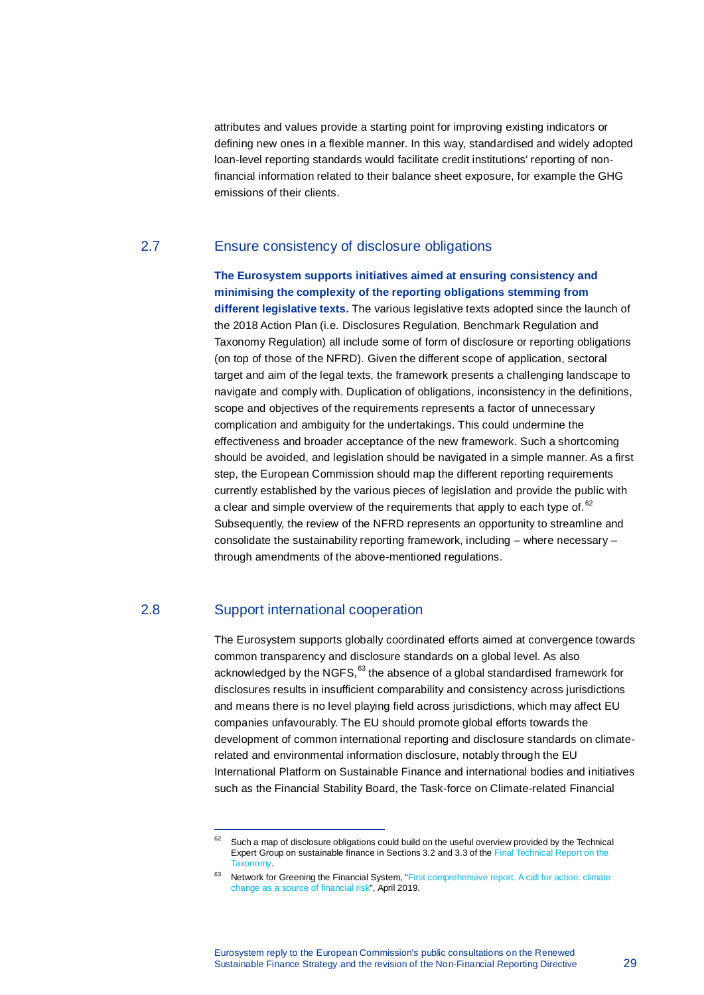attributes and values provide a starting point for improving existing indicators or defining new ones in a flexible manner. In this way, standardised and widely adopted loan-level reporting standards would facilitate credit institutions' reporting of nonfinancial information related to their balance sheet exposure, for example the GHG emissions of their clients.

#### 2.7 Ensure consistency of disclosure obligations

**The Eurosystem supports initiatives aimed at ensuring consistency and minimising the complexity of the reporting obligations stemming from different legislative texts.** The various legislative texts adopted since the launch of the 2018 Action Plan (i.e. Disclosures Regulation, Benchmark Regulation and Taxonomy Regulation) all include some of form of disclosure or reporting obligations (on top of those of the NFRD). Given the different scope of application, sectoral target and aim of the legal texts, the framework presents a challenging landscape to navigate and comply with. Duplication of obligations, inconsistency in the definitions, scope and objectives of the requirements represents a factor of unnecessary complication and ambiguity for the undertakings. This could undermine the effectiveness and broader acceptance of the new framework. Such a shortcoming should be avoided, and legislation should be navigated in a simple manner. As a first step, the European Commission should map the different reporting requirements currently established by the various pieces of legislation and provide the public with a clear and simple overview of the requirements that apply to each type of.  $62$ Subsequently, the review of the NFRD represents an opportunity to streamline and consolidate the sustainability reporting framework, including – where necessary – through amendments of the above-mentioned regulations.

### 2.8 Support international cooperation

l,

The Eurosystem supports globally coordinated efforts aimed at convergence towards common transparency and disclosure standards on a global level. As also acknowledged by the NGFS, <sup>[63](#page-28-1)</sup> the absence of a global standardised framework for disclosures results in insufficient comparability and consistency across jurisdictions and means there is no level playing field across jurisdictions, which may affect EU companies unfavourably. The EU should promote global efforts towards the development of common international reporting and disclosure standards on climaterelated and environmental information disclosure, notably through the EU International Platform on Sustainable Finance and international bodies and initiatives such as the Financial Stability Board, the Task-force on Climate-related Financial

<span id="page-28-0"></span> $62$  Such a map of disclosure obligations could build on the useful overview provided by the Technical Expert Group on sustainable finance in Sections 3.2 and 3.3 of th[e Final Technical Report on the](https://ec.europa.eu/info/sites/info/files/business_economy_euro/banking_and_finance/documents/200309-sustainable-finance-teg-final-report-taxonomy_en.pdf)  [Taxonomy.](https://ec.europa.eu/info/sites/info/files/business_economy_euro/banking_and_finance/documents/200309-sustainable-finance-teg-final-report-taxonomy_en.pdf)

<span id="page-28-1"></span><sup>&</sup>lt;sup>63</sup> Network for Greening the Financial System, "First comprehensive report. A call for action: climate [change as a source of financial risk"](https://www.banque-france.fr/sites/default/files/media/2019/04/17/ngfs_first_comprehensive_report_-_17042019_0.pdf), April 2019.